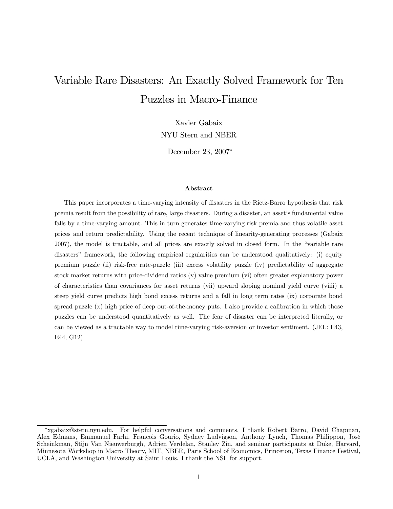# Variable Rare Disasters: An Exactly Solved Framework for Ten Puzzles in Macro-Finance

Xavier Gabaix NYU Stern and NBER

December 23, 2007<sup>∗</sup>

#### Abstract

This paper incorporates a time-varying intensity of disasters in the Rietz-Barro hypothesis that risk premia result from the possibility of rare, large disasters. During a disaster, an asset's fundamental value falls by a time-varying amount. This in turn generates time-varying risk premia and thus volatile asset prices and return predictability. Using the recent technique of linearity-generating processes (Gabaix 2007), the model is tractable, and all prices are exactly solved in closed form. In the "variable rare disasters" framework, the following empirical regularities can be understood qualitatively: (i) equity premium puzzle (ii) risk-free rate-puzzle (iii) excess volatility puzzle (iv) predictability of aggregate stock market returns with price-dividend ratios (v) value premium (vi) often greater explanatory power of characteristics than covariances for asset returns (vii) upward sloping nominal yield curve (viiii) a steep yield curve predicts high bond excess returns and a fall in long term rates (ix) corporate bond spread puzzle (x) high price of deep out-of-the-money puts. I also provide a calibration in which those puzzles can be understood quantitatively as well. The fear of disaster can be interpreted literally, or can be viewed as a tractable way to model time-varying risk-aversion or investor sentiment. (JEL: E43, E44, G12)

<sup>∗</sup>xgabaix@stern.nyu.edu. For helpful conversations and comments, I thank Robert Barro, David Chapman, Alex Edmans, Emmanuel Farhi, Francois Gourio, Sydney Ludvigson, Anthony Lynch, Thomas Philippon, José Scheinkman, Stijn Van Nieuwerburgh, Adrien Verdelan, Stanley Zin, and seminar participants at Duke, Harvard, Minnesota Workshop in Macro Theory, MIT, NBER, Paris School of Economics, Princeton, Texas Finance Festival, UCLA, and Washington University at Saint Louis. I thank the NSF for support.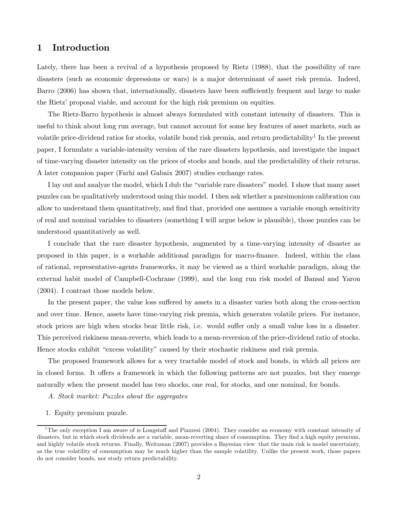# 1 Introduction

Lately, there has been a revival of a hypothesis proposed by Rietz (1988), that the possibility of rare disasters (such as economic depressions or wars) is a major determinant of asset risk premia. Indeed, Barro (2006) has shown that, internationally, disasters have been sufficiently frequent and large to make the Rietz' proposal viable, and account for the high risk premium on equities.

The Rietz-Barro hypothesis is almost always formulated with constant intensity of disasters. This is useful to think about long run average, but cannot account for some key features of asset markets, such as volatile price-dividend ratios for stocks, volatile bond risk premia, and return predictability<sup>1</sup> In the present paper, I formulate a variable-intensity version of the rare disasters hypothesis, and investigate the impact of time-varying disaster intensity on the prices of stocks and bonds, and the predictability of their returns. A later companion paper (Farhi and Gabaix 2007) studies exchange rates.

I lay out and analyze the model, which I dub the "variable rare disasters" model. I show that many asset puzzles can be qualitatively understood using this model. I then ask whether a parsimonious calibration can allow to understand them quantitatively, and find that, provided one assumes a variable enough sensitivity of real and nominal variables to disasters (something I will argue below is plausible), those puzzles can be understood quantitatively as well.

I conclude that the rare disaster hypothesis, augmented by a time-varying intensity of disaster as proposed in this paper, is a workable additional paradigm for macro-finance. Indeed, within the class of rational, representative-agents frameworks, it may be viewed as a third workable paradigm, along the external habit model of Campbell-Cochrane (1999), and the long run risk model of Bansal and Yaron (2004). I contrast those models below.

In the present paper, the value loss suffered by assets in a disaster varies both along the cross-section and over time. Hence, assets have time-varying risk premia, which generates volatile prices. For instance, stock prices are high when stocks bear little risk, i.e. would suffer only a small value loss in a disaster. This perceived riskiness mean-reverts, which leads to a mean-reversion of the price-dividend ratio of stocks. Hence stocks exhibit "excess volatility" caused by their stochastic riskiness and risk premia.

The proposed framework allows for a very tractable model of stock and bonds, in which all prices are in closed forms. It offers a framework in which the following patterns are not puzzles, but they emerge naturally when the present model has two shocks, one real, for stocks, and one nominal, for bonds.

- A. Stock market: Puzzles about the aggregates
- 1. Equity premium puzzle.

<sup>1</sup>The only exception I am aware of is Longstaff and Piazzesi (2004). They consider an economy with constant intensity of disasters, but in which stock dividends are a variable, mean-reverting share of consumption. They find a high equity premium, and highly volatile stock returns. Finally, Weitzman (2007) provides a Bayesian view that the main risk is model uncertainty, as the true volatility of consumption may be much higher than the sample volatility. Unlike the present work, those papers do not consider bonds, nor study return predictability.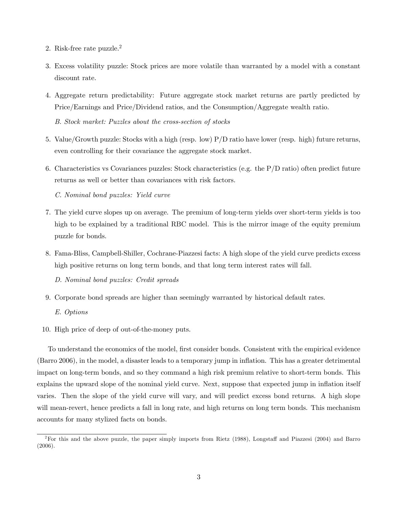- 2. Risk-free rate puzzle.2
- 3. Excess volatility puzzle: Stock prices are more volatile than warranted by a model with a constant discount rate.
- 4. Aggregate return predictability: Future aggregate stock market returns are partly predicted by Price/Earnings and Price/Dividend ratios, and the Consumption/Aggregate wealth ratio.

B. Stock market: Puzzles about the cross-section of stocks

- 5. Value/Growth puzzle: Stocks with a high (resp. low) P/D ratio have lower (resp. high) future returns, even controlling for their covariance the aggregate stock market.
- 6. Characteristics vs Covariances puzzles: Stock characteristics (e.g. the  $P/D$  ratio) often predict future returns as well or better than covariances with risk factors.

C. Nominal bond puzzles: Yield curve

- 7. The yield curve slopes up on average. The premium of long-term yields over short-term yields is too high to be explained by a traditional RBC model. This is the mirror image of the equity premium puzzle for bonds.
- 8. Fama-Bliss, Campbell-Shiller, Cochrane-Piazzesi facts: A high slope of the yield curve predicts excess high positive returns on long term bonds, and that long term interest rates will fall.

D. Nominal bond puzzles: Credit spreads

- 9. Corporate bond spreads are higher than seemingly warranted by historical default rates. E. Options
- 10. High price of deep of out-of-the-money puts.

To understand the economics of the model, first consider bonds. Consistent with the empirical evidence (Barro 2006), in the model, a disaster leads to a temporary jump in inflation. This has a greater detrimental impact on long-term bonds, and so they command a high risk premium relative to short-term bonds. This explains the upward slope of the nominal yield curve. Next, suppose that expected jump in inflation itself varies. Then the slope of the yield curve will vary, and will predict excess bond returns. A high slope will mean-revert, hence predicts a fall in long rate, and high returns on long term bonds. This mechanism accounts for many stylized facts on bonds.

<sup>2</sup>For this and the above puzzle, the paper simply imports from Rietz (1988), Longstaff and Piazzesi (2004) and Barro (2006).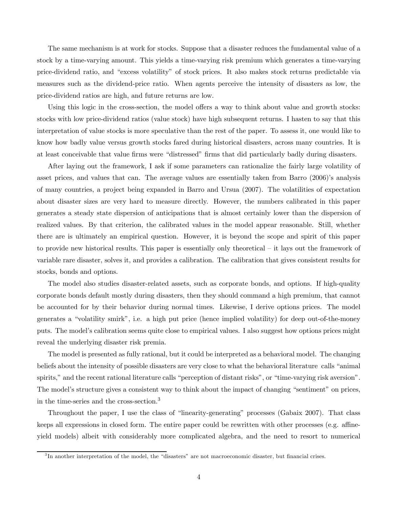The same mechanism is at work for stocks. Suppose that a disaster reduces the fundamental value of a stock by a time-varying amount. This yields a time-varying risk premium which generates a time-varying price-dividend ratio, and "excess volatility" of stock prices. It also makes stock returns predictable via measures such as the dividend-price ratio. When agents perceive the intensity of disasters as low, the price-dividend ratios are high, and future returns are low.

Using this logic in the cross-section, the model offers a way to think about value and growth stocks: stocks with low price-dividend ratios (value stock) have high subsequent returns. I hasten to say that this interpretation of value stocks is more speculative than the rest of the paper. To assess it, one would like to know how badly value versus growth stocks fared during historical disasters, across many countries. It is at least conceivable that value firms were "distressed" firms that did particularly badly during disasters.

After laying out the framework, I ask if some parameters can rationalize the fairly large volatility of asset prices, and values that can. The average values are essentially taken from Barro (2006)'s analysis of many countries, a project being expanded in Barro and Ursua (2007). The volatilities of expectation about disaster sizes are very hard to measure directly. However, the numbers calibrated in this paper generates a steady state dispersion of anticipations that is almost certainly lower than the dispersion of realized values. By that criterion, the calibrated values in the model appear reasonable. Still, whether there are is ultimately an empirical question. However, it is beyond the scope and spirit of this paper to provide new historical results. This paper is essentially only theoretical — it lays out the framework of variable rare disaster, solves it, and provides a calibration. The calibration that gives consistent results for stocks, bonds and options.

The model also studies disaster-related assets, such as corporate bonds, and options. If high-quality corporate bonds default mostly during disasters, then they should command a high premium, that cannot be accounted for by their behavior during normal times. Likewise, I derive options prices. The model generates a "volatility smirk", i.e. a high put price (hence implied volatility) for deep out-of-the-money puts. The model's calibration seems quite close to empirical values. I also suggest how options prices might reveal the underlying disaster risk premia.

The model is presented as fully rational, but it could be interpreted as a behavioral model. The changing beliefs about the intensity of possible disasters are very close to what the behavioral literature calls "animal spirits," and the recent rational literature calls "perception of distant risks", or "time-varying risk aversion". The model's structure gives a consistent way to think about the impact of changing "sentiment" on prices, in the time-series and the cross-section.<sup>3</sup>

Throughout the paper, I use the class of "linearity-generating" processes (Gabaix 2007). That class keeps all expressions in closed form. The entire paper could be rewritten with other processes (e.g. affineyield models) albeit with considerably more complicated algebra, and the need to resort to numerical

<sup>&</sup>lt;sup>3</sup>In another interpretation of the model, the "disasters" are not macroeconomic disaster, but financial crises.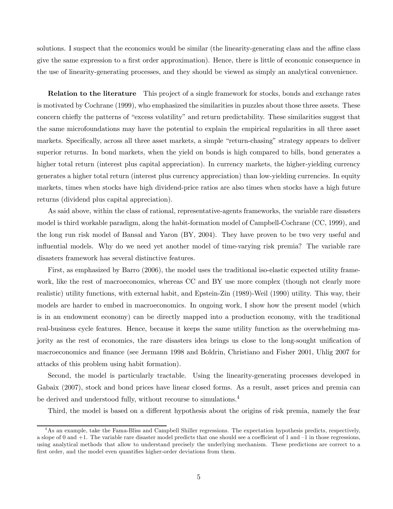solutions. I suspect that the economics would be similar (the linearity-generating class and the affine class give the same expression to a first order approximation). Hence, there is little of economic consequence in the use of linearity-generating processes, and they should be viewed as simply an analytical convenience.

Relation to the literature This project of a single framework for stocks, bonds and exchange rates is motivated by Cochrane (1999), who emphasized the similarities in puzzles about those three assets. These concern chiefly the patterns of "excess volatility" and return predictability. These similarities suggest that the same microfoundations may have the potential to explain the empirical regularities in all three asset markets. Specifically, across all three asset markets, a simple "return-chasing" strategy appears to deliver superior returns. In bond markets, when the yield on bonds is high compared to bills, bond generates a higher total return (interest plus capital appreciation). In currency markets, the higher-yielding currency generates a higher total return (interest plus currency appreciation) than low-yielding currencies. In equity markets, times when stocks have high dividend-price ratios are also times when stocks have a high future returns (dividend plus capital appreciation).

As said above, within the class of rational, representative-agents frameworks, the variable rare disasters model is third workable paradigm, along the habit-formation model of Campbell-Cochrane (CC, 1999), and the long run risk model of Bansal and Yaron (BY, 2004). They have proven to be two very useful and influential models. Why do we need yet another model of time-varying risk premia? The variable rare disasters framework has several distinctive features.

First, as emphasized by Barro (2006), the model uses the traditional iso-elastic expected utility framework, like the rest of macroeconomics, whereas CC and BY use more complex (though not clearly more realistic) utility functions, with external habit, and Epstein-Zin (1989)-Weil (1990) utility. This way, their models are harder to embed in macroeconomics. In ongoing work, I show how the present model (which is in an endowment economy) can be directly mapped into a production economy, with the traditional real-business cycle features. Hence, because it keeps the same utility function as the overwhelming majority as the rest of economics, the rare disasters idea brings us close to the long-sought unification of macroeconomics and finance (see Jermann 1998 and Boldrin, Christiano and Fisher 2001, Uhlig 2007 for attacks of this problem using habit formation).

Second, the model is particularly tractable. Using the linearity-generating processes developed in Gabaix (2007), stock and bond prices have linear closed forms. As a result, asset prices and premia can be derived and understood fully, without recourse to simulations.4

Third, the model is based on a different hypothesis about the origins of risk premia, namely the fear

<sup>&</sup>lt;sup>4</sup>As an example, take the Fama-Bliss and Campbell Shiller regressions. The expectation hypothesis predicts, respectively, a slope of 0 and  $+1$ . The variable rare disaster model predicts that one should see a coefficient of 1 and  $-1$  in those regressions, using analytical methods that allow to understand precisely the underlying mechanism. These predictions are correct to a first order, and the model even quantifies higher-order deviations from them.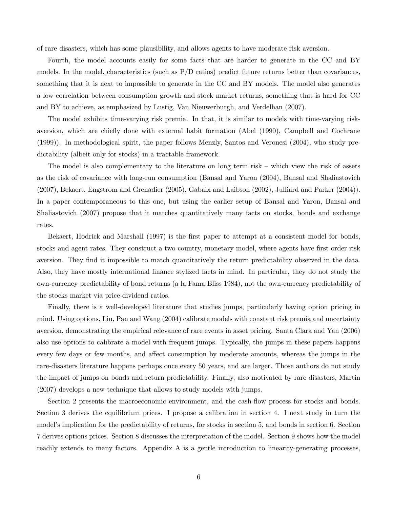of rare disasters, which has some plausibility, and allows agents to have moderate risk aversion.

Fourth, the model accounts easily for some facts that are harder to generate in the CC and BY models. In the model, characteristics (such as  $P/D$  ratios) predict future returns better than covariances, something that it is next to impossible to generate in the CC and BY models. The model also generates a low correlation between consumption growth and stock market returns, something that is hard for CC and BY to achieve, as emphasized by Lustig, Van Nieuwerburgh, and Verdelhan (2007).

The model exhibits time-varying risk premia. In that, it is similar to models with time-varying riskaversion, which are chiefly done with external habit formation (Abel (1990), Campbell and Cochrane (1999)). In methodological spirit, the paper follows Menzly, Santos and Veronesi (2004), who study predictability (albeit only for stocks) in a tractable framework.

The model is also complementary to the literature on long term risk — which view the risk of assets as the risk of covariance with long-run consumption (Bansal and Yaron (2004), Bansal and Shaliastovich (2007), Bekaert, Engstrom and Grenadier (2005), Gabaix and Laibson (2002), Julliard and Parker (2004)). In a paper contemporaneous to this one, but using the earlier setup of Bansal and Yaron, Bansal and Shaliastovich (2007) propose that it matches quantitatively many facts on stocks, bonds and exchange rates.

Bekaert, Hodrick and Marshall (1997) is the first paper to attempt at a consistent model for bonds, stocks and agent rates. They construct a two-country, monetary model, where agents have first-order risk aversion. They find it impossible to match quantitatively the return predictability observed in the data. Also, they have mostly international finance stylized facts in mind. In particular, they do not study the own-currency predictability of bond returns (a la Fama Bliss 1984), not the own-currency predictability of the stocks market via price-dividend ratios.

Finally, there is a well-developed literature that studies jumps, particularly having option pricing in mind. Using options, Liu, Pan and Wang (2004) calibrate models with constant risk premia and uncertainty aversion, demonstrating the empirical relevance of rare events in asset pricing. Santa Clara and Yan (2006) also use options to calibrate a model with frequent jumps. Typically, the jumps in these papers happens every few days or few months, and affect consumption by moderate amounts, whereas the jumps in the rare-disasters literature happens perhaps once every 50 years, and are larger. Those authors do not study the impact of jumps on bonds and return predictability. Finally, also motivated by rare disasters, Martin (2007) develops a new technique that allows to study models with jumps.

Section 2 presents the macroeconomic environment, and the cash-flow process for stocks and bonds. Section 3 derives the equilibrium prices. I propose a calibration in section 4. I next study in turn the model's implication for the predictability of returns, for stocks in section 5, and bonds in section 6. Section 7 derives options prices. Section 8 discusses the interpretation of the model. Section 9 shows how the model readily extends to many factors. Appendix A is a gentle introduction to linearity-generating processes,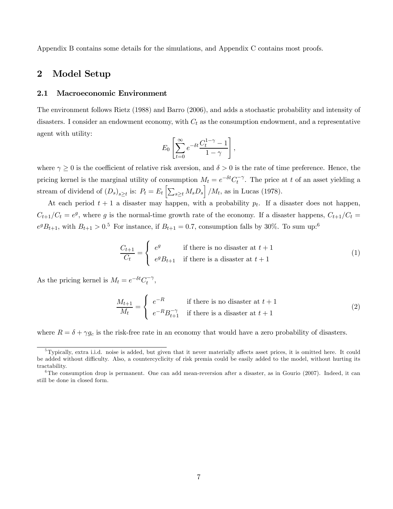Appendix B contains some details for the simulations, and Appendix C contains most proofs.

# 2 Model Setup

#### 2.1 Macroeconomic Environment

The environment follows Rietz (1988) and Barro (2006), and adds a stochastic probability and intensity of disasters. I consider an endowment economy, with  $C_t$  as the consumption endowment, and a representative agent with utility:

$$
E_0 \left[ \sum_{t=0}^{\infty} e^{-\delta t} \frac{C_t^{1-\gamma} - 1}{1 - \gamma} \right],
$$

where  $\gamma \geq 0$  is the coefficient of relative risk aversion, and  $\delta > 0$  is the rate of time preference. Hence, the pricing kernel is the marginal utility of consumption  $M_t = e^{-\delta t} C_t^{-\gamma}$ . The price at t of an asset yielding a stream of dividend of  $(D_s)_{s\geq t}$  is:  $P_t = E_t \left[ \sum_{s\geq t} M_s D_s \right] / M_t$ , as in Lucas (1978).

At each period  $t + 1$  a disaster may happen, with a probability  $p_t$ . If a disaster does not happen,  $C_{t+1}/C_t = e^g$ , where g is the normal-time growth rate of the economy. If a disaster happens,  $C_{t+1}/C_t =$  $e^{g}B_{t+1}$ , with  $B_{t+1} > 0.5$  For instance, if  $B_{t+1} = 0.7$ , consumption falls by 30%. To sum up:<sup>6</sup>

$$
\frac{C_{t+1}}{C_t} = \begin{cases} e^g & \text{if there is no disaster at } t+1\\ e^g B_{t+1} & \text{if there is a disaster at } t+1 \end{cases}
$$
 (1)

As the pricing kernel is  $M_t = e^{-\delta t} C_t^{-\gamma}$ ,

$$
\frac{M_{t+1}}{M_t} = \begin{cases} e^{-R} & \text{if there is no disaster at } t+1\\ e^{-R}B_{t+1}^{-\gamma} & \text{if there is a disaster at } t+1 \end{cases}
$$
\n(2)

where  $R = \delta + \gamma g_c$  is the risk-free rate in an economy that would have a zero probability of disasters.

 $5$ Typically, extra i.i.d. noise is added, but given that it never materially affects asset prices, it is omitted here. It could be added without difficulty. Also, a countercyclicity of risk premia could be easily added to the model, without hurting its tractability.

 $6$ The consumption drop is permanent. One can add mean-reversion after a disaster, as in Gourio (2007). Indeed, it can still be done in closed form.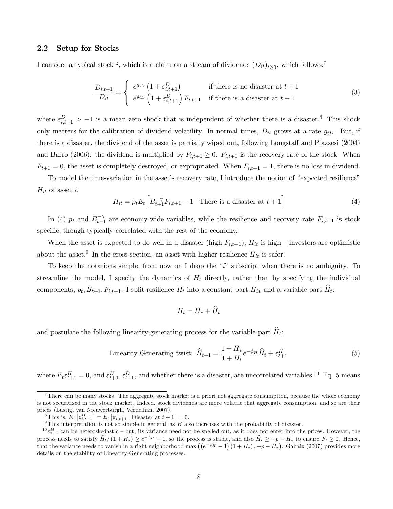#### 2.2 Setup for Stocks

I consider a typical stock i, which is a claim on a stream of dividends  $(D_{it})_{t>0}$ , which follows:<sup>7</sup>

$$
\frac{D_{i,t+1}}{D_{it}} = \begin{cases} e^{g_{iD}} \left( 1 + \varepsilon_{i,t+1}^D \right) & \text{if there is no disaster at } t+1\\ e^{g_{iD}} \left( 1 + \varepsilon_{i,t+1}^D \right) F_{i,t+1} & \text{if there is a disaster at } t+1 \end{cases}
$$
(3)

where  $\varepsilon_{i,t+1}^D > -1$  is a mean zero shock that is independent of whether there is a disaster.<sup>8</sup> This shock only matters for the calibration of dividend volatility. In normal times,  $D_{it}$  grows at a rate  $g_{iD}$ . But, if there is a disaster, the dividend of the asset is partially wiped out, following Longstaff and Piazzesi (2004) and Barro (2006): the dividend is multiplied by  $F_{i,t+1} \geq 0$ .  $F_{i,t+1}$  is the recovery rate of the stock. When  $F_{t+1} = 0$ , the asset is completely destroyed, or expropriated. When  $F_{i,t+1} = 1$ , there is no loss in dividend.

To model the time-variation in the asset's recovery rate, I introduce the notion of "expected resilience"  $H_{it}$  of asset i,

$$
H_{it} = p_t E_t \left[ B_{t+1}^{-\gamma} F_{i,t+1} - 1 \mid \text{There is a disaster at } t+1 \right]
$$
 (4)

In (4)  $p_t$  and  $B_{t+1}^{-\gamma}$  are economy-wide variables, while the resilience and recovery rate  $F_{i,t+1}$  is stock specific, though typically correlated with the rest of the economy.

When the asset is expected to do well in a disaster (high  $F_{i,t+1}$ ),  $H_{it}$  is high – investors are optimistic about the asset.<sup>9</sup> In the cross-section, an asset with higher resilience  $H_{it}$  is safer.

To keep the notations simple, from now on I drop the "i" subscript when there is no ambiguity. To streamline the model, I specify the dynamics of  $H_t$  directly, rather than by specifying the individual components,  $p_t, B_{t+1}, F_{i,t+1}$ . I split resilience  $H_t$  into a constant part  $H_{i*}$  and a variable part  $\widehat{H}_t$ :

$$
H_t = H_* + \dot{H}_t
$$

and postulate the following linearity-generating process for the variable part  $\widehat{H}_t$ :

Linearity-Generating twist: 
$$
\widehat{H}_{t+1} = \frac{1 + H_*}{1 + H_t} e^{-\phi_H} \widehat{H}_t + \varepsilon_{t+1}^H
$$
 (5)

where  $E_t \varepsilon_{t+1}^H = 0$ , and  $\varepsilon_{t+1}^H$ ,  $\varepsilon_{t+1}^D$ , and whether there is a disaster, are uncorrelated variables.<sup>10</sup> Eq. 5 means

<sup>&</sup>lt;sup>7</sup>There can be many stocks. The aggregate stock market is a priori not aggregate consumption, because the whole economy is not securitized in the stock market. Indeed, stock dividends are more volatile that aggregate consumption, and so are their prices (Lustig, van Nieuwerburgh, Verdelhan, 2007).

<sup>&</sup>lt;sup>8</sup>This is,  $E_t\left[\varepsilon_{i,t+1}^D\right] = E_t\left[\varepsilon_{i,t+1}^D \mid \text{Dissaster at } t+1\right] = 0.$ 

<sup>&</sup>lt;sup>9</sup>This interpretation is not so simple in general, as  $H$  also increases with the probability of disaster.

 ${}^{10}$  $\varepsilon_{t+1}^H$  can be heteroskedastic – but, its variance need not be spelled out, as it does not enter into the prices. However, the process needs to satisfy  $\hat{H}_t/(1 + H_*) \ge e^{-\phi_H} - 1$ , so the process is stable, and also  $\hat{H}_t \ge -p - H_*$  to ensure  $F_t \ge 0$ . Hence, that the variance needs to vanish in a right neighborhood max  $((e^{-\phi_H}-1)(1+H_*)$ ,  $-p-H_*)$ . Gabaix (2007) provides more details on the stability of Linearity-Generating processes.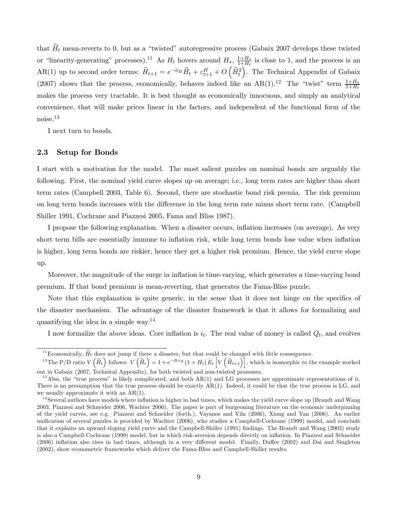that  $\hat{H}_t$  mean-reverts to 0, but as a "twisted" autoregressive process (Gabaix 2007 develops these twisted or "linearity-generating" processes).<sup>11</sup> As  $H_t$  hovers around  $H_*$ ,  $\frac{1+H_*}{1+H_t}$  is close to 1, and the process is an  $AR(1)$  up to second order terms:  $\widehat{H}_{t+1} = e^{-\phi_H} \widehat{H}_t + \varepsilon_{t+1}^H + O\left(\widehat{H}_t^2\right)$ . The Technical Appendix of Gabaix (2007) shows that the process, economically, behaves indeed like an AR(1).<sup>12</sup> The "twist" term  $\frac{1+H_*}{1+H_t}$ makes the process very tractable. It is best thought as economically innocuous, and simply an analytical convenience, that will make prices linear in the factors, and independent of the functional form of the noise.13

I next turn to bonds.

#### 2.3 Setup for Bonds

I start with a motivation for the model. The most salient puzzles on nominal bonds are arguably the following. First, the nominal yield curve slopes up on average; i.e., long term rates are higher than short term rates (Campbell 2003, Table 6). Second, there are stochastic bond risk premia. The risk premium on long term bonds increases with the difference in the long term rate minus short term rate. (Campbell Shiller 1991, Cochrane and Piazzesi 2005, Fama and Bliss 1987).

I propose the following explanation. When a disaster occurs, inflation increases (on average). As very short term bills are essentially immune to inflation risk, while long term bonds lose value when inflation is higher, long term bonds are riskier, hence they get a higher risk premium. Hence, the yield curve slope up.

Moreover, the magnitude of the surge in inflation is time-varying, which generates a time-varying bond premium. If that bond premium is mean-reverting, that generates the Fama-Bliss puzzle.

Note that this explanation is quite generic, in the sense that it does not hinge on the specifics of the disaster mechanism. The advantage of the disaster framework is that it allows for formalizing and quantifying the idea in a simple way.14

I now formalize the above ideas. Core inflation is  $i_t$ . The real value of money is called  $Q_t$ , and evolves

<sup>&</sup>lt;sup>11</sup> Economically,  $\hat{H}_t$  does not jump if there a disaster, but that could be changed with little consequence.

<sup>&</sup>lt;sup>12</sup>The P/D ratio  $V(\hat{H}_t)$  follows:  $V(\hat{H}_t) = 1 + e^{-R+g} (1 + H_t) E_t \left[ V(\hat{H}_{t+1}) \right]$ , which is isomorphic to the example worked out in Gabaix (2007, Technical Appendix), for both twisted and non-twisted processes.

 $13$  Also, the "true process" is likely complicated, and both AR(1) and LG processes are approximate representations of it. There is no presumption that the true process should be exactly AR(1). Indeed, it could be that the true process is LG, and we usually approximate it with an AR(1).

<sup>&</sup>lt;sup>14</sup> Several authors have models where inflation is higher in bad times, which makes the yield curve slope up (Brandt and Wang 2003, Piazzesi and Schneider 2006, Wachter 2006). The paper is part of burgeoning literature on the economic underpinning of the yield curves, see e.g. Piazzesi and Schneider (forth.), Vayanos and Vila (2006), Xiong and Yan (2006). An earlier unification of several puzzles is provided by Wachter (2006), who studies a Campbell-Cochrane (1999) model, and conclude that it explains an upward sloping yield curve and the Campbell-Shiller (1991) findings. The Brandt and Wang (2003) study is also a Campbell-Cochrane (1999) model, but in which risk-aversion depends directly on inflation. In Piazzesi and Schneider (2006) inflation also rises in bad times, although in a very different model. Finally, Duffee (2002) and Dai and Singleton (2002), show econometric frameworks which deliver the Fama-Bliss and Campbell-Shiller results.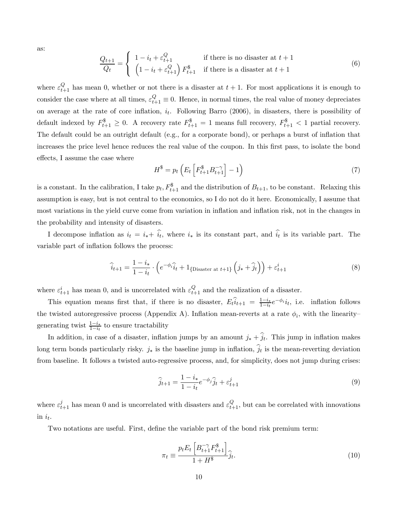as:

$$
\frac{Q_{t+1}}{Q_t} = \begin{cases} 1 - i_t + \varepsilon_{t+1}^Q & \text{if there is no disaster at } t+1\\ \left(1 - i_t + \varepsilon_{t+1}^Q\right) F_{t+1}^{\$} & \text{if there is a disaster at } t+1 \end{cases}
$$
(6)

where  $\varepsilon_{t+1}^Q$  has mean 0, whether or not there is a disaster at  $t + 1$ . For most applications it is enough to consider the case where at all times,  $\varepsilon_{t+1}^Q \equiv 0$ . Hence, in normal times, the real value of money depreciates on average at the rate of core inflation,  $i_t$ . Following Barro (2006), in disasters, there is possibility of default indexed by  $F_{t+1}^{\$} \geq 0$ . A recovery rate  $F_{t+1}^{\$} = 1$  means full recovery,  $F_{t+1}^{\$} < 1$  partial recovery. The default could be an outright default (e.g., for a corporate bond), or perhaps a burst of inflation that increases the price level hence reduces the real value of the coupon. In this first pass, to isolate the bond effects, I assume the case where

$$
H^{\$} = p_t \left( E_t \left[ F_{t+1}^{\$} B_{t+1}^{-\gamma} \right] - 1 \right) \tag{7}
$$

is a constant. In the calibration, I take  $p_t$ ,  $F_{t+1}^{\$}$  and the distribution of  $B_{t+1}$ , to be constant. Relaxing this assumption is easy, but is not central to the economics, so I do not do it here. Economically, I assume that most variations in the yield curve come from variation in inflation and inflation risk, not in the changes in the probability and intensity of disasters.

I decompose inflation as  $i_t = i_* + i_t$ , where  $i_*$  is its constant part, and  $i_t$  is its variable part. The variable part of inflation follows the process:

$$
\widehat{i}_{t+1} = \frac{1 - i_*}{1 - i_t} \cdot \left( e^{-\phi_i} \widehat{i}_t + 1_{\{\text{Disaster at } t+1\}} \left( j_* + \widehat{j}_t \right) \right) + \varepsilon_{t+1}^i \tag{8}
$$

where  $\varepsilon_{t+1}^i$  has mean 0, and is uncorrelated with  $\varepsilon_{t+1}^Q$  and the realization of a disaster.

This equation means first that, if there is no disaster,  $E_t\hat{i}_{t+1} = \frac{1-i_*}{1-i_*}e^{-\phi_i}i_t$ , i.e. inflation follows the twisted autoregressive process (Appendix A). Inflation mean-reverts at a rate  $\phi_i$ , with the linearitygenerating twist  $\frac{1-i_*}{1-i_t}$  to ensure tractability

In addition, in case of a disaster, inflation jumps by an amount  $j_* + \hat{j}_t$ . This jump in inflation makes long term bonds particularly risky.  $j_*$  is the baseline jump in inflation,  $\hat{j}_t$  is the mean-reverting deviation from baseline. It follows a twisted auto-regressive process, and, for simplicity, does not jump during crises:

$$
\hat{j}_{t+1} = \frac{1 - i_*}{1 - i_t} e^{-\phi_j} \hat{j}_t + \varepsilon_{t+1}^j
$$
\n(9)

where  $\varepsilon_{t+1}^j$  has mean 0 and is uncorrelated with disasters and  $\varepsilon_{t+1}^Q$ , but can be correlated with innovations in  $i_t$ .

Two notations are useful. First, define the variable part of the bond risk premium term:

$$
\pi_t \equiv \frac{p_t E_t \left[ B_{t+1}^{-\gamma} F_{t+1}^{\$} \right]}{1 + H^{\$}} \hat{j}_t. \tag{10}
$$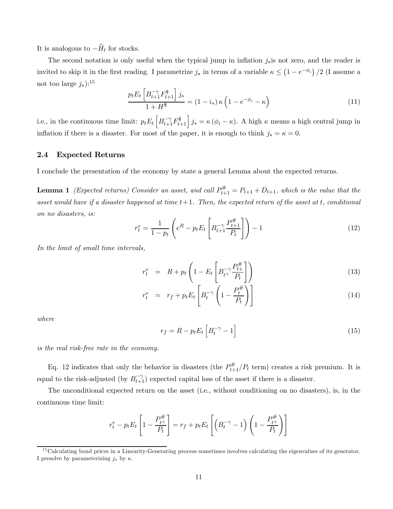It is analogous to  $-\widehat{H}_t$  for stocks.

The second notation is only useful when the typical jump in inflation  $j_*$  is not zero, and the reader is invited to skip it in the first reading. I parametrize  $j_*$  in terms of a variable  $\kappa \leq (1 - e^{-\phi_i})/2$  (I assume a not too large  $j_*)$ :<sup>15</sup>

$$
\frac{p_t E_t \left[ B_{t+1}^{-\gamma} F_{t+1}^{\$} \right] j_*}{1 + H^{\$}} = (1 - i_*) \kappa \left( 1 - e^{-\phi_i} - \kappa \right)
$$
\n(11)

i.e., in the continuous time limit:  $p_t E_t \left[ B_{t+1}^{-\gamma} F_{t+1}^{\$} \right] j_* = \kappa (\phi_i - \kappa)$ . A high  $\kappa$  means a high central jump in inflation if there is a disaster. For most of the paper, it is enough to think  $j_* = \kappa = 0$ .

#### 2.4 Expected Returns

I conclude the presentation of the economy by state a general Lemma about the expected returns.

**Lemma 1** (Expected returns) Consider an asset, and call  $P_{t+1}^{\#} = P_{t+1} + D_{t+1}$ , which is the value that the asset would have if a disaster happened at time  $t+1$ . Then, the expected return of the asset at t, conditional on no disasters, is:

$$
r_t^e = \frac{1}{1 - p_t} \left( e^R - p_t E_t \left[ B_{t+1}^{-\gamma} \frac{P_{t+1}^{\#}}{P_t} \right] \right) - 1 \tag{12}
$$

In the limit of small time intervals,

$$
r_t^e = R + p_t \left( 1 - E_t \left[ B_{t^+}^{-\gamma} \frac{P_{t+}^{\#}}{P_t} \right] \right) \tag{13}
$$

$$
r_t^e = r_f + p_t E_t \left[ B_t^{-\gamma} \left( 1 - \frac{P_t^{\#}}{P_t} \right) \right]
$$
\n(14)

where

$$
r_f = R - p_t E_t \left[ B_t^{-\gamma} - 1 \right] \tag{15}
$$

#### is the real risk-free rate in the economy.

Eq. 12 indicates that only the behavior in disasters (the  $P_{t+1}^{\#}/P_t$  term) creates a risk premium. It is equal to the risk-adjusted (by  $B_{t+1}^{-\gamma}$ ) expected capital loss of the asset if there is a disaster.

The unconditional expected return on the asset (i.e., without conditioning on no disasters), is, in the continuous time limit:

$$
r_t^e - p_t E_t \left[ 1 - \frac{P_{t^+}^{\#}}{P_t} \right] = r_f + p_t E_t \left[ \left( B_t^{-\gamma} - 1 \right) \left( 1 - \frac{P_{t^+}^{\#}}{P_t} \right) \right]
$$

<sup>&</sup>lt;sup>15</sup>Calculating bond prices in a Linearity-Generating process sometimes involves calculating the eigenvalues of its generator. I presolve by parameterizing  $j_*$  by  $\kappa$ .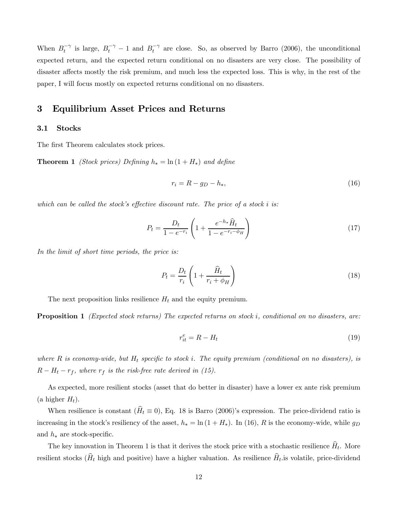When  $B_t^{-\gamma}$  is large,  $B_t^{-\gamma} - 1$  and  $B_t^{-\gamma}$  are close. So, as observed by Barro (2006), the unconditional expected return, and the expected return conditional on no disasters are very close. The possibility of disaster affects mostly the risk premium, and much less the expected loss. This is why, in the rest of the paper, I will focus mostly on expected returns conditional on no disasters.

# 3 Equilibrium Asset Prices and Returns

#### 3.1 Stocks

The first Theorem calculates stock prices.

**Theorem 1** (Stock prices) Defining  $h_* = \ln(1 + H_*)$  and define

$$
r_i = R - g_D - h_*,\tag{16}
$$

which can be called the stock's effective discount rate. The price of a stock i is:

$$
P_t = \frac{D_t}{1 - e^{-r_i}} \left( 1 + \frac{e^{-h_*}\hat{H}_t}{1 - e^{-r_i - \phi_H}} \right)
$$
(17)

In the limit of short time periods, the price is:

$$
P_t = \frac{D_t}{r_i} \left( 1 + \frac{\hat{H}_t}{r_i + \phi_H} \right) \tag{18}
$$

The next proposition links resilience  $H_t$  and the equity premium.

**Proposition 1** (Expected stock returns) The expected returns on stock i, conditional on no disasters, are:

$$
r_{it}^e = R - H_t \tag{19}
$$

where R is economy-wide, but  $H_t$  specific to stock i. The equity premium (conditional on no disasters), is  $R - H_t - r_f$ , where  $r_f$  is the risk-free rate derived in (15).

As expected, more resilient stocks (asset that do better in disaster) have a lower ex ante risk premium (a higher  $H_t$ ).

When resilience is constant  $(\hat{H}_t \equiv 0)$ , Eq. 18 is Barro (2006)'s expression. The price-dividend ratio is increasing in the stock's resiliency of the asset,  $h_* = \ln(1 + H_*)$ . In (16), R is the economy-wide, while  $g_D$ and  $h_*$  are stock-specific.

The key innovation in Theorem 1 is that it derives the stock price with a stochastic resilience  $\hat{H}_t$ . More resilient stocks ( $\hat{H}_t$  high and positive) have a higher valuation. As resilience  $\hat{H}_t$  is volatile, price-dividend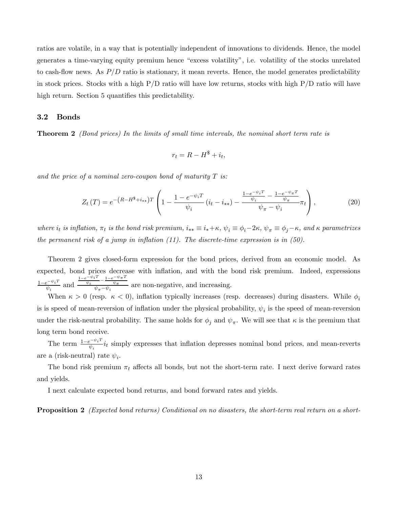ratios are volatile, in a way that is potentially independent of innovations to dividends. Hence, the model generates a time-varying equity premium hence "excess volatility", i.e. volatility of the stocks unrelated to cash-flow news. As  $P/D$  ratio is stationary, it mean reverts. Hence, the model generates predictability in stock prices. Stocks with a high  $P/D$  ratio will have low returns, stocks with high  $P/D$  ratio will have high return. Section 5 quantifies this predictability.

#### 3.2 Bonds

Theorem 2 (Bond prices) In the limits of small time intervals, the nominal short term rate is

$$
r_t = R - H^{\$} + i_t,
$$

and the price of a nominal zero-coupon bond of maturity  $T$  is:

$$
Z_t(T) = e^{-\left(R - H^{\$} + i_{**}\right)T} \left(1 - \frac{1 - e^{-\psi_i T}}{\psi_i} \left(i_t - i_{**}\right) - \frac{\frac{1 - e^{-\psi_i T}}{\psi_i} - \frac{1 - e^{-\psi_n T}}{\psi_n}}{\psi_n - \psi_i} \pi_t\right),\tag{20}
$$

where  $i_t$  is inflation,  $\pi_t$  is the bond risk premium,  $i_{**} \equiv i_* + \kappa$ ,  $\psi_i \equiv \phi_i - 2\kappa$ ,  $\psi_{\pi} \equiv \phi_j - \kappa$ , and  $\kappa$  parametrizes the permanent risk of a jump in inflation  $(11)$ . The discrete-time expression is in  $(50)$ .

Theorem 2 gives closed-form expression for the bond prices, derived from an economic model. As expected, bond prices decrease with inflation, and with the bond risk premium. Indeed, expressions  $\frac{1-e^{-\psi_i T}}{\psi_i}$  and  $\frac{1-e^{-\psi_i T}-1-e^{-\psi_\pi T}}{\psi_i-\psi_i}$  are non-negative, and increasing.

When  $\kappa > 0$  (resp.  $\kappa < 0$ ), inflation typically increases (resp. decreases) during disasters. While  $\phi_i$ is is speed of mean-reversion of inflation under the physical probability,  $\psi_i$  is the speed of mean-reversion under the risk-neutral probability. The same holds for  $\phi_j$  and  $\psi_\pi$ . We will see that  $\kappa$  is the premium that long term bond receive.

The term  $\frac{1-e^{-\psi_i T}}{\psi_i}i_t$  simply expresses that inflation depresses nominal bond prices, and mean-reverts are a (risk-neutral) rate  $\psi_i$ .

The bond risk premium  $\pi_t$  affects all bonds, but not the short-term rate. I next derive forward rates and yields.

I next calculate expected bond returns, and bond forward rates and yields.

**Proposition 2** (Expected bond returns) Conditional on no disasters, the short-term real return on a short-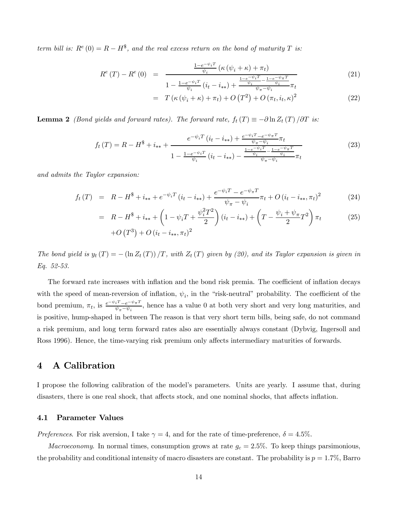term bill is:  $R^{e}(0) = R - H^{s}$ , and the real excess return on the bond of maturity T is:

$$
R^{e}(T) - R^{e}(0) = \frac{\frac{1 - e^{-\psi_{i}T}}{\psi_{i}} \left(\kappa \left(\psi_{i} + \kappa\right) + \pi_{t}\right)}{1 - \frac{1 - e^{-\psi_{i}T}}{\psi_{i}} \left(i_{t} - i_{**}\right) + \frac{\frac{1 - e^{-\psi_{i}T}}{\psi_{i}} - \frac{1 - e^{-\psi_{\pi}T}}{\psi_{i}}}{\psi_{\pi} - \psi_{i}} \pi_{t}}
$$
(21)

$$
= T(\kappa(\psi_i + \kappa) + \pi_t) + O(T^2) + O(\pi_t, i_t, \kappa)^2
$$
\n(22)

**Lemma 2** (Bond yields and forward rates). The forward rate,  $f_t(T) \equiv -\partial \ln Z_t(T)/\partial T$  is:

$$
f_t(T) = R - H^{\$} + i_{**} + \frac{e^{-\psi_i T} (i_t - i_{**}) + \frac{e^{-\psi_i T} - e^{-\psi_\pi T}}{\psi_\pi - \psi_i} \pi_t}{1 - \frac{1 - e^{-\psi_i T}}{\psi_i} (i_t - i_{**}) - \frac{\frac{1 - e^{-\psi_i T} - 1 - e^{-\psi_\pi T}}{\psi_\pi - \psi_i}}{\psi_\pi - \psi_i} \pi_t}
$$
(23)

and admits the Taylor expansion:

$$
f_t(T) = R - H^{\$} + i_{**} + e^{-\psi_i T} (i_t - i_{**}) + \frac{e^{-\psi_i T} - e^{-\psi_\pi T}}{\psi_\pi - \psi_i} \pi_t + O(i_t - i_{**}, \pi_t)^2
$$
(24)

$$
= R - H^* + i_{**} + \left(1 - \psi_i T + \frac{\psi_i^2 T^2}{2}\right) (i_t - i_{**}) + \left(T - \frac{\psi_i + \psi_\pi}{2} T^2\right) \pi_t
$$
  
+ O(T<sup>3</sup>) + O(i\_t - i\_{\*\*}, \pi\_t)<sup>2</sup> (25)

The bond yield is  $y_t(T) = -(\ln Z_t(T))/T$ , with  $Z_t(T)$  given by (20), and its Taylor expansion is given in Eq. 52-53.

The forward rate increases with inflation and the bond risk premia. The coefficient of inflation decays with the speed of mean-reversion of inflation,  $\psi_i$ , in the "risk-neutral" probability. The coefficient of the bond premium,  $\pi_t$ , is  $\frac{e^{-\psi_i T}-e^{-\psi_{\pi} T}}{\psi_{\pi}-\psi_i}$ , hence has a value 0 at both very short and very long maturities, and is positive, hump-shaped in between The reason is that very short term bills, being safe, do not command a risk premium, and long term forward rates also are essentially always constant (Dybvig, Ingersoll and Ross 1996). Hence, the time-varying risk premium only affects intermediary maturities of forwards.

### 4 A Calibration

I propose the following calibration of the model's parameters. Units are yearly. I assume that, during disasters, there is one real shock, that affects stock, and one nominal shocks, that affects inflation.

#### 4.1 Parameter Values

Preferences. For risk aversion, I take  $\gamma = 4$ , and for the rate of time-preference,  $\delta = 4.5\%$ .

*Macroeconomy.* In normal times, consumption grows at rate  $g_c = 2.5\%$ . To keep things parsimonious, the probability and conditional intensity of macro disasters are constant. The probability is  $p = 1.7\%$ , Barro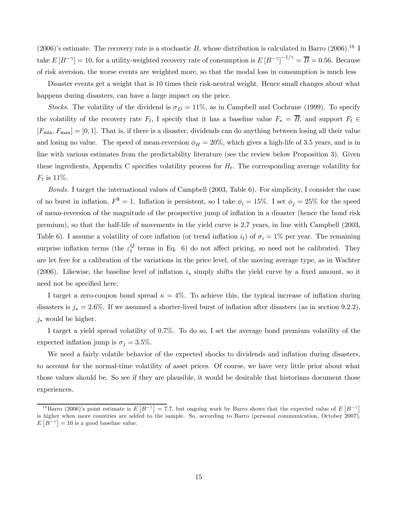(2006)'s estimate. The recovery rate is a stochastic B, whose distribution is calculated in Barro (2006).<sup>16</sup> I take  $E[B^{-\gamma}] = 10$ , for a utility-weighted recovery rate of consumption is  $E[B^{-\gamma}]^{-1/\gamma} = \overline{B} = 0.56$ . Because of risk aversion, the worse events are weighted more, so that the modal loss in consumption is much less

Disaster events get a weight that is 10 times their risk-neutral weight. Hence small changes about what happens during disasters, can have a large impact on the price.

Stocks. The volatility of the dividend is  $\sigma_D = 11\%$ , as in Campbell and Cochrane (1999). To specify the volatility of the recovery rate  $F_t$ , I specify that it has a baseline value  $F_* = \overline{B}$ , and support  $F_t \in$  $[F_{\min}, F_{\max}] = [0, 1].$  That is, if there is a disaster, dividends can do anything between losing all their value and losing no value. The speed of mean-reversion  $\phi_H = 20\%$ , which gives a high-life of 3.5 years, and is in line with various estimates from the predictability literature (see the review below Proposition 3). Given these ingredients, Appendix C specifies volatility process for  $H_t$ . The corresponding average volatility for  $F_t$  is 11%.

Bonds. I target the international values of Campbell (2003, Table 6). For simplicity, I consider the case of no burst in inflation,  $F^{\$} = 1$ . Inflation is persistent, so I take  $\phi_i = 15\%$ . I set  $\phi_j = 25\%$  for the speed of mean-reversion of the magnitude of the prospective jump of inflation in a disaster (hence the bond risk premium), so that the half-life of movements in the yield curve is 2.7 years, in line with Campbell (2003, Table 6). I assume a volatility of core inflation (or trend inflation  $i_t$ ) of  $\sigma_i = 1\%$  per year. The remaining surprise inflation terms (the  $\varepsilon_t^Q$  terms in Eq. 6) do not affect pricing, so need not be calibrated. They are let free for a calibration of the variations in the price level, of the moving average type, as in Wachter (2006). Likewise, the baseline level of inflation  $i_*$  simply shifts the yield curve by a fixed amount, so it need not be specified here.

I target a zero-coupon bond spread  $\kappa = 4\%$ . To achieve this, the typical increase of inflation during disasters is  $j_* = 2.6\%$ . If we assumed a shorter-lived burst of inflation after disasters (as in section 9.2.2),  $j_*$  would be higher.

I target a yield spread volatility of 0.7%. To do so, I set the average bond premium volatility of the expected inflation jump is  $\sigma_j = 3.5\%.$ 

We need a fairly volatile behavior of the expected shocks to dividends and inflation during disasters, to account for the normal-time volatility of asset prices. Of course, we have very little prior about what those values should be. So see if they are plausible, it would be desirable that historians document those experiences.

<sup>&</sup>lt;sup>16</sup>Barro (2006)'s point estimate is  $E[R^{-\gamma}] = 7.7$ , but ongoing work by Barro shows that the expected value of  $E[R^{-\gamma}]$ is higher when more countries are added to the sample. So, according to Barro (personal communication, October 2007),  $E[B^{-\gamma}] = 10$  is a good baseline value.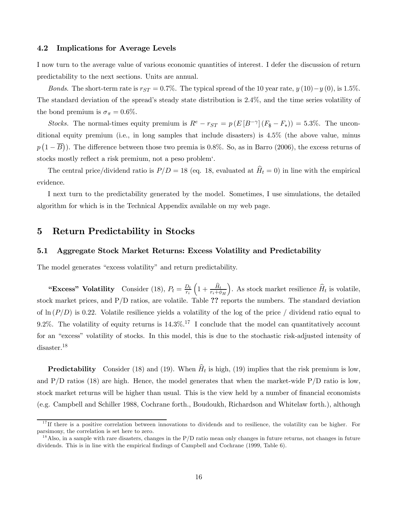#### 4.2 Implications for Average Levels

I now turn to the average value of various economic quantities of interest. I defer the discussion of return predictability to the next sections. Units are annual.

Bonds. The short-term rate is  $r_{ST} = 0.7\%$ . The typical spread of the 10 year rate,  $y(10)-y(0)$ , is 1.5%. The standard deviation of the spread's steady state distribution is 2.4%, and the time series volatility of the bond premium is  $\sigma_{\pi} = 0.6\%$ .

Stocks. The normal-times equity premium is  $R^e - r_{ST} = p(E[B^{-\gamma}](F_s - F_*)) = 5.3\%$ . The unconditional equity premium (i.e., in long samples that include disasters) is 4.5% (the above value, minus  $p(1-\overline{B})$ ). The difference between those two premia is 0.8%. So, as in Barro (2006), the excess returns of stocks mostly reflect a risk premium, not a peso problem'.

The central price/dividend ratio is  $P/D = 18$  (eq. 18, evaluated at  $\widehat{H}_t = 0$ ) in line with the empirical evidence.

I next turn to the predictability generated by the model. Sometimes, I use simulations, the detailed algorithm for which is in the Technical Appendix available on my web page.

# 5 Return Predictability in Stocks

#### 5.1 Aggregate Stock Market Returns: Excess Volatility and Predictability

The model generates "excess volatility" and return predictability.

"Excess" Volatility Consider (18),  $P_t = \frac{D_t}{r_i}$  $\Big(1+\frac{\widehat{H}_t}{r_i+\phi_H}$ ). As stock market resilience  $\widehat{H}_t$  is volatile, stock market prices, and P/D ratios, are volatile. Table ?? reports the numbers. The standard deviation of  $\ln(P/D)$  is 0.22. Volatile resilience yields a volatility of the log of the price / dividend ratio equal to 9.2%. The volatility of equity returns is  $14.3\%$ .<sup>17</sup> I conclude that the model can quantitatively account for an "excess" volatility of stocks. In this model, this is due to the stochastic risk-adjusted intensity of disaster.<sup>18</sup>

**Predictability** Consider (18) and (19). When  $\hat{H}_t$  is high, (19) implies that the risk premium is low, and  $P/D$  ratios (18) are high. Hence, the model generates that when the market-wide  $P/D$  ratio is low, stock market returns will be higher than usual. This is the view held by a number of financial economists (e.g. Campbell and Schiller 1988, Cochrane forth., Boudoukh, Richardson and Whitelaw forth.), although

 $17$  If there is a positive correlation between innovations to dividends and to resilience, the volatility can be higher. For parsimony, the correlation is set here to zero.

 $1<sup>8</sup>$  Also, in a sample with rare disasters, changes in the P/D ratio mean only changes in future returns, not changes in future dividends. This is in line with the empirical findings of Campbell and Cochrane (1999, Table 6).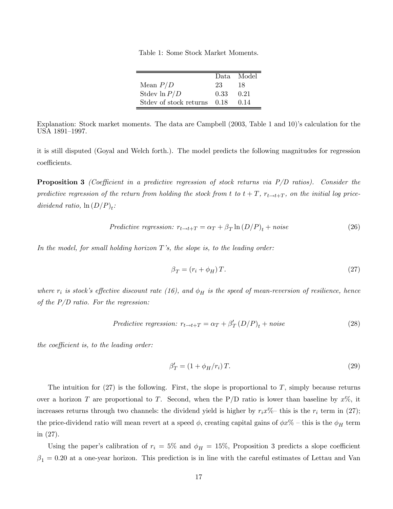Table 1: Some Stock Market Moments.

|                        |      | Data Model |
|------------------------|------|------------|
| Mean $P/D$             | 23   | 18         |
| Stdev $\ln P/D$        | 0.33 | 0.21       |
| Stdev of stock returns | 0.18 | (114)      |

Explanation: Stock market moments. The data are Campbell (2003, Table 1 and 10)'s calculation for the USA 1891—1997.

it is still disputed (Goyal and Welch forth.). The model predicts the following magnitudes for regression coefficients.

**Proposition 3** (Coefficient in a predictive regression of stock returns via  $P/D$  ratios). Consider the predictive regression of the return from holding the stock from t to  $t + T$ ,  $r_{t \to t+T}$ , on the initial log pricedividend ratio,  $\ln(D/P)_t$ :

$$
Predictive regression: r_{t \to t+T} = \alpha_T + \beta_T \ln(D/P)_t + noise \tag{26}
$$

In the model, for small holding horizon  $T$ 's, the slope is, to the leading order:

$$
\beta_T = (r_i + \phi_H) T. \tag{27}
$$

where  $r_i$  is stock's effective discount rate (16), and  $\phi_H$  is the speed of mean-reversion of resilience, hence of the  $P/D$  ratio. For the regression:

$$
Predictive regression: r_{t \to t+T} = \alpha_T + \beta'_T (D/P)_t + noise \tag{28}
$$

the coefficient is, to the leading order:

$$
\beta'_T = (1 + \phi_H/r_i) T. \tag{29}
$$

The intuition for  $(27)$  is the following. First, the slope is proportional to T, simply because returns over a horizon T are proportional to T. Second, when the P/D ratio is lower than baseline by  $x\%$ , it increases returns through two channels: the dividend yield is higher by  $r_i x\%$  this is the  $r_i$  term in (27); the price-dividend ratio will mean revert at a speed  $\phi$ , creating capital gains of  $\phi x\%$  – this is the  $\phi_H$  term in (27).

Using the paper's calibration of  $r_i = 5\%$  and  $\phi_H = 15\%$ , Proposition 3 predicts a slope coefficient  $\beta_1 = 0.20$  at a one-year horizon. This prediction is in line with the careful estimates of Lettau and Van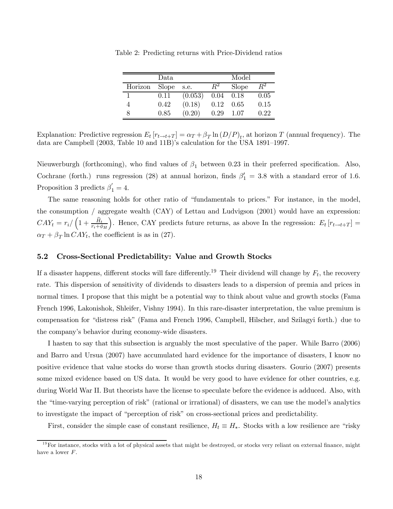| Data    |       |         | Model |       |       |
|---------|-------|---------|-------|-------|-------|
| Horizon | Slope | s.e.    | $R^2$ | Slope | $R^2$ |
|         | 0.11  | (0.053) | 0.04  | 0.18  | 0.05  |
| 4       | 0.42  | (0.18)  | 0.12  | 0.65  | 0.15  |
|         | 0.85  | (0.20)  | 0.29  | 1.07  | 0.22  |

Table 2: Predicting returns with Price-Dividend ratios

Explanation: Predictive regression  $E_t[r_{t\to t+T}] = \alpha_T + \beta_T \ln(D/P)_t$ , at horizon T (annual frequency). The data are Campbell (2003, Table 10 and 11B)'s calculation for the USA 1891—1997.

Nieuwerburgh (forthcoming), who find values of  $\beta_1$  between 0.23 in their preferred specification. Also, Cochrane (forth.) runs regression (28) at annual horizon, finds  $\beta'_1 = 3.8$  with a standard error of 1.6. Proposition 3 predicts  $\beta'_1 = 4$ .

The same reasoning holds for other ratio of "fundamentals to prices." For instance, in the model, the consumption / aggregate wealth (CAY) of Lettau and Ludvigson (2001) would have an expression:  $CAY_t = r_i / \left(1 + \frac{\widehat{H}_t}{r_i + \phi_H}\right)$ ). Hence, CAY predicts future returns, as above In the regression:  $E_t$  [ $r_{t\rightarrow t+T}$ ] =  $\alpha_T + \beta_T \ln CAY_t$ , the coefficient is as in (27).

#### 5.2 Cross-Sectional Predictability: Value and Growth Stocks

If a disaster happens, different stocks will fare differently.<sup>19</sup> Their dividend will change by  $F_t$ , the recovery rate. This dispersion of sensitivity of dividends to disasters leads to a dispersion of premia and prices in normal times. I propose that this might be a potential way to think about value and growth stocks (Fama French 1996, Lakonishok, Shleifer, Vishny 1994). In this rare-disaster interpretation, the value premium is compensation for "distress risk" (Fama and French 1996, Campbell, Hilscher, and Szilagyi forth.) due to the company's behavior during economy-wide disasters.

I hasten to say that this subsection is arguably the most speculative of the paper. While Barro (2006) and Barro and Ursua (2007) have accumulated hard evidence for the importance of disasters, I know no positive evidence that value stocks do worse than growth stocks during disasters. Gourio (2007) presents some mixed evidence based on US data. It would be very good to have evidence for other countries, e.g. during World War II. But theorists have the license to speculate before the evidence is adduced. Also, with the "time-varying perception of risk" (rational or irrational) of disasters, we can use the model's analytics to investigate the impact of "perception of risk" on cross-sectional prices and predictability.

First, consider the simple case of constant resilience,  $H_t \equiv H_*$ . Stocks with a low resilience are "risky"

 $19$  For instance, stocks with a lot of physical assets that might be destroyed, or stocks very reliant on external finance, might have a lower F.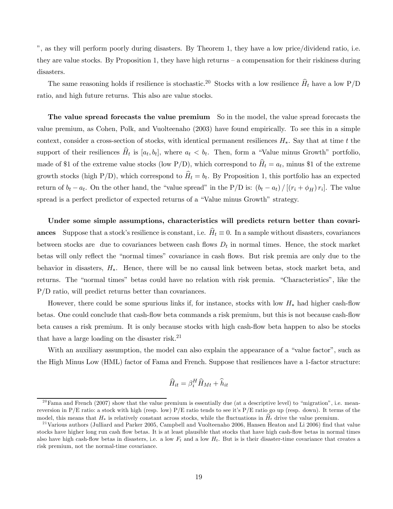", as they will perform poorly during disasters. By Theorem 1, they have a low price/dividend ratio, i.e. they are value stocks. By Proposition 1, they have high returns — a compensation for their riskiness during disasters.

The same reasoning holds if resilience is stochastic.<sup>20</sup> Stocks with a low resilience  $\widehat{H}_t$  have a low P/D ratio, and high future returns. This also are value stocks.

The value spread forecasts the value premium So in the model, the value spread forecasts the value premium, as Cohen, Polk, and Vuolteenaho (2003) have found empirically. To see this in a simple context, consider a cross-section of stocks, with identical permanent resiliences  $H_*$ . Say that at time t the support of their resiliences  $\hat{H}_t$  is  $[a_t, b_t]$ , where  $a_t < b_t$ . Then, form a "Value minus Growth" portfolio, made of \$1 of the extreme value stocks (low P/D), which correspond to  $\hat{H}_t = a_t$ , minus \$1 of the extreme growth stocks (high P/D), which correspond to  $\hat{H}_t = b_t$ . By Proposition 1, this portfolio has an expected return of  $b_t - a_t$ . On the other hand, the "value spread" in the P/D is:  $(b_t - a_t) / [(r_i + \phi_H) r_i]$ . The value spread is a perfect predictor of expected returns of a "Value minus Growth" strategy.

Under some simple assumptions, characteristics will predicts return better than covariances Suppose that a stock's resilience is constant, i.e.  $\hat{H}_t \equiv 0$ . In a sample without disasters, covariances between stocks are due to covariances between cash flows  $D_t$  in normal times. Hence, the stock market betas will only reflect the "normal times" covariance in cash flows. But risk premia are only due to the behavior in disasters, H∗. Hence, there will be no causal link between betas, stock market beta, and returns. The "normal times" betas could have no relation with risk premia. "Characteristics", like the P/D ratio, will predict returns better than covariances.

However, there could be some spurious links if, for instance, stocks with low  $H_*$  had higher cash-flow betas. One could conclude that cash-flow beta commands a risk premium, but this is not because cash-flow beta causes a risk premium. It is only because stocks with high cash-flow beta happen to also be stocks that have a large loading on the disaster risk.<sup>21</sup>

With an auxiliary assumption, the model can also explain the appearance of a "value factor", such as the High Minus Low (HML) factor of Fama and French. Suppose that resiliences have a 1-factor structure:

$$
\widehat{H}_{it} = \beta_i^H \widehat{H}_{Mt} + \widehat{h}_{it}
$$

 $^{20}$ Fama and French (2007) show that the value premium is essentially due (at a descriptive level) to "migration", i.e. meanreversion in P/E ratio: a stock with high (resp. low) P/E ratio tends to see it's P/E ratio go up (resp. down). It terms of the model, this means that  $H_*$  is relatively constant across stocks, while the fluctuations in  $\hat{H}_t$  drive the value premium.<br><sup>21</sup>Various authors (Julliard and Parker 2005, Campbell and Vuolteenaho 2006, Hansen Heaton and

stocks have higher long run cash flow betas. It is at least plausible that stocks that have high cash-flow betas in normal times also have high cash-flow betas in disasters, i.e. a low  $F_t$  and a low  $H_t$ . But is is their disaster-time covariance that creates a risk premium, not the normal-time covariance.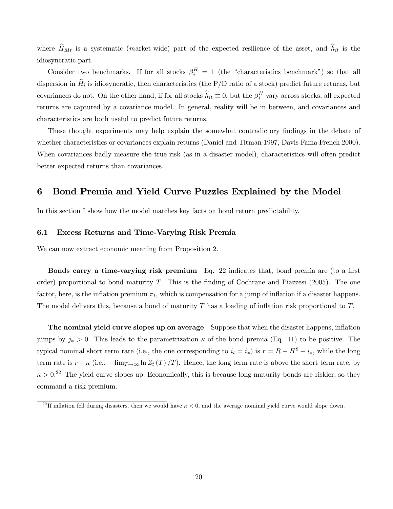where  $H_{Mt}$  is a systematic (market-wide) part of the expected resilience of the asset, and  $h_{it}$  is the idiosyncratic part.

Consider two benchmarks. If for all stocks  $\beta_i^H = 1$  (the "characteristics benchmark") so that all dispersion in  $\hat{H}_i$  is idiosyncratic, then characteristics (the P/D ratio of a stock) predict future returns, but covariances do not. On the other hand, if for all stocks  $\hat{h}_{it} \equiv 0$ , but the  $\beta_i^H$  vary across stocks, all expected returns are captured by a covariance model. In general, reality will be in between, and covariances and characteristics are both useful to predict future returns.

These thought experiments may help explain the somewhat contradictory findings in the debate of whether characteristics or covariances explain returns (Daniel and Titman 1997, Davis Fama French 2000). When covariances badly measure the true risk (as in a disaster model), characteristics will often predict better expected returns than covariances.

# 6 Bond Premia and Yield Curve Puzzles Explained by the Model

In this section I show how the model matches key facts on bond return predictability.

#### 6.1 Excess Returns and Time-Varying Risk Premia

We can now extract economic meaning from Proposition 2.

Bonds carry a time-varying risk premium Eq. 22 indicates that, bond premia are (to a first order) proportional to bond maturity T. This is the finding of Cochrane and Piazzesi  $(2005)$ . The one factor, here, is the inflation premium  $\pi_t$ , which is compensation for a jump of inflation if a disaster happens. The model delivers this, because a bond of maturity  $T$  has a loading of inflation risk proportional to  $T$ .

The nominal yield curve slopes up on average Suppose that when the disaster happens, inflation jumps by  $j_* > 0$ . This leads to the parametrization  $\kappa$  of the bond premia (Eq. 11) to be positive. The typical nominal short term rate (i.e., the one corresponding to  $i_t = i_*$ ) is  $r = R - H^* + i_*$ , while the long term rate is  $r + \kappa$  (i.e.,  $-\lim_{T\to\infty} \ln Z_t(T)/T$ ). Hence, the long term rate is above the short term rate, by  $\kappa > 0.22$  The yield curve slopes up. Economically, this is because long maturity bonds are riskier, so they command a risk premium.

<sup>&</sup>lt;sup>22</sup>If inflation fell during disasters, then we would have  $\kappa < 0$ , and the average nominal yield curve would slope down.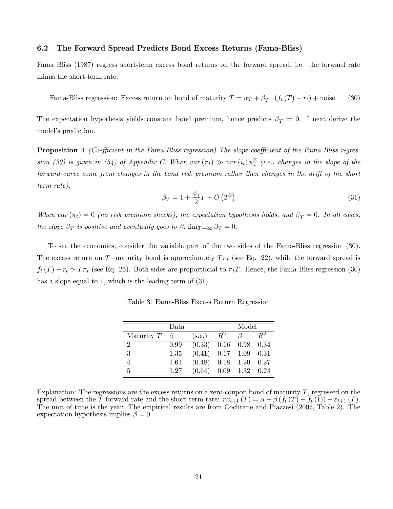#### 6.2 The Forward Spread Predicts Bond Excess Returns (Fama-Bliss)

Fama Bliss (1987) regress short-term excess bond returns on the forward spread, i.e. the forward rate minus the short-term rate:

Fama-Bliss regression: Excess return on bond of maturity  $T = \alpha_T + \beta_T \cdot (f_t(T) - r_t) + \text{noise}$  (30)

The expectation hypothesis yields constant bond premium, hence predicts  $\beta_T = 0$ . I next derive the model's prediction.

**Proposition 4** (Coefficient in the Fama-Bliss regression) The slope coefficient of the Fama-Bliss regression (30) is given in (54) of Appendix C. When var  $(\pi_t) \gg var(i_t) \psi_i^2$  (i.e., changes in the slope of the forward curve come from changes in the bond risk premium rather then changes in the drift of the short term rate),

$$
\beta_T = 1 + \frac{\psi_i}{2}T + O\left(T^2\right) \tag{31}
$$

When var  $(\pi_t)=0$  (no risk premium shocks), the expectation hypothesis holds, and  $\beta_T = 0$ . In all cases, the slope  $\beta_T$  is positive and eventually goes to 0,  $\lim_{T\to\infty} \beta_T = 0$ .

To see the economics, consider the variable part of the two sides of the Fama-Bliss regression (30). The excess return on T−maturity bond is approximately  $T\pi_t$  (see Eq. 22), while the forward spread is  $f_t(T) - r_t \simeq T \pi_t$  (see Eq. 25). Both sides are proportional to  $\pi_t T$ . Hence, the Fama-Bliss regression (30) has a slope equal to 1, which is the leading term of  $(31)$ .

|                             | Data |                               | Model |             |      |
|-----------------------------|------|-------------------------------|-------|-------------|------|
| Maturity $T$                |      | (s.e.)                        | $R^2$ |             |      |
| $\mathcal{D}_{\mathcal{L}}$ | 0.99 | $(0.33)$ 0.16 0.98 0.34       |       |             |      |
| 3                           | 1.35 | $(0.41)$ $0.17$ $1.09$ $0.31$ |       |             |      |
|                             | 1.61 | (0.48)                        |       | $0.18$ 1.20 | 0.27 |
| 5                           | 1.27 | (0.64)                        |       | $0.09$ 1.32 | 0.24 |

Table 3: Fama-Bliss Excess Return Regression

Explanation: The regressions are the excess returns on a zero-coupon bond of maturity  $T$ , regressed on the spread between the T forward rate and the short term rate:  $rx_{t+1}(T) = \alpha + \beta (f_t(T) - f_t(1)) + \varepsilon_{t+1}(T)$ . The unit of time is the year. The empirical results are from Cochrane and Piazzesi (2005, Table 2). The expectation hypothesis implies  $\beta = 0$ .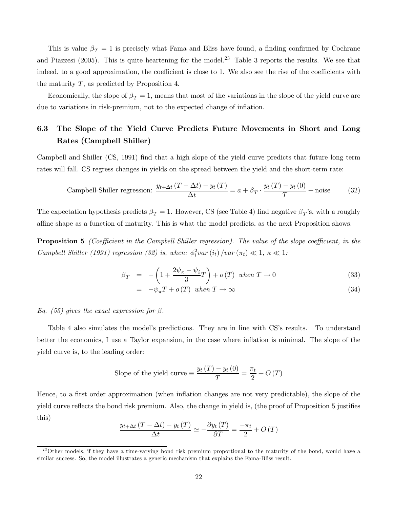This is value  $\beta_T = 1$  is precisely what Fama and Bliss have found, a finding confirmed by Cochrane and Piazzesi (2005). This is quite heartening for the model.<sup>23</sup> Table 3 reports the results. We see that indeed, to a good approximation, the coefficient is close to 1. We also see the rise of the coefficients with the maturity  $T$ , as predicted by Proposition 4.

Economically, the slope of  $\beta_T = 1$ , means that most of the variations in the slope of the yield curve are due to variations in risk-premium, not to the expected change of inflation.

# 6.3 The Slope of the Yield Curve Predicts Future Movements in Short and Long Rates (Campbell Shiller)

Campbell and Shiller (CS, 1991) find that a high slope of the yield curve predicts that future long term rates will fall. CS regress changes in yields on the spread between the yield and the short-term rate:

$$
\text{ Campbell-Shiller regression: } \frac{y_{t+\Delta t} (T - \Delta t) - y_t (T)}{\Delta t} = a + \beta_T \cdot \frac{y_t (T) - y_t (0)}{T} + \text{noise} \tag{32}
$$

The expectation hypothesis predicts  $\beta_T = 1$ . However, CS (see Table 4) find negative  $\beta_T$ 's, with a roughly affine shape as a function of maturity. This is what the model predicts, as the next Proposition shows.

**Proposition 5** (Coefficient in the Campbell Shiller regression). The value of the slope coefficient, in the Campbell Shiller (1991) regression (32) is, when:  $\phi_i^2 var(i_t) / var(\pi_t) \ll 1, \kappa \ll 1$ :

$$
\beta_T = -\left(1 + \frac{2\psi_\pi - \psi_i}{3}T\right) + o(T) \text{ when } T \to 0 \tag{33}
$$

$$
= -\psi_{\pi} T + o(T) \quad when \quad T \to \infty \tag{34}
$$

Eq. (55) gives the exact expression for  $\beta$ .

Table 4 also simulates the model's predictions. They are in line with CS's results. To understand better the economics, I use a Taylor expansion, in the case where inflation is minimal. The slope of the yield curve is, to the leading order:

Slope of the yield curve 
$$
\equiv \frac{y_t(T) - y_t(0)}{T} = \frac{\pi_t}{2} + O(T)
$$

Hence, to a first order approximation (when inflation changes are not very predictable), the slope of the yield curve reflects the bond risk premium. Also, the change in yield is, (the proof of Proposition 5 justifies this)

$$
\frac{y_{t+\Delta t} (T - \Delta t) - y_t (T)}{\Delta t} \simeq -\frac{\partial y_t (T)}{\partial T} = \frac{-\pi_t}{2} + O(T)
$$

 $^{23}$ Other models, if they have a time-varying bond risk premium proportional to the maturity of the bond, would have a similar success. So, the model illustrates a generic mechanism that explains the Fama-Bliss result.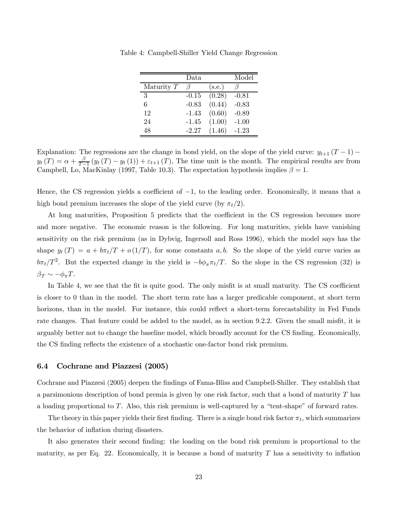|              | Data    |        | Model   |
|--------------|---------|--------|---------|
| Maturity $T$ |         | (s.e.) |         |
| 3            | $-0.15$ | (0.28) | $-0.81$ |
| 6            | $-0.83$ | (0.44) | $-0.83$ |
| 12           | $-1.43$ | (0.60) | $-0.89$ |
| 24           | $-1.45$ | (1.00) | $-1.00$ |
| 48           | $-2.27$ | (1.46) | $-1.23$ |

Table 4: Campbell-Shiller Yield Change Regression

Explanation: The regressions are the change in bond yield, on the slope of the yield curve:  $y_{t+1}$  (T – 1) –  $y_t(T) = \alpha + \frac{\beta}{T-1} (y_t(T) - y_t(1)) + \varepsilon_{t+1}(T)$ , The time unit is the month. The empirical results are from Campbell, Lo, MacKinlay (1997, Table 10.3). The expectation hypothesis implies  $\beta = 1$ .

Hence, the CS regression yields a coefficient of  $-1$ , to the leading order. Economically, it means that a high bond premium increases the slope of the yield curve (by  $\pi_t/2$ ).

At long maturities, Proposition 5 predicts that the coefficient in the CS regression becomes more and more negative. The economic reason is the following. For long maturities, yields have vanishing sensitivity on the risk premium (as in Dybvig, Ingersoll and Ross 1996), which the model says has the shape  $y_t(T) = a + b\pi_t/T + o(1/T)$ , for some constants a, b. So the slope of the yield curve varies as  $b\pi_t/T^2$ . But the expected change in the yield is  $-b\phi_\pi \pi_t/T$ . So the slope in the CS regression (32) is  $\beta_T \sim -\phi_\pi T$ .

In Table 4, we see that the fit is quite good. The only misfit is at small maturity. The CS coefficient is closer to 0 than in the model. The short term rate has a larger predicable component, at short term horizons, than in the model. For instance, this could reflect a short-term forecastability in Fed Funds rate changes. That feature could be added to the model, as in section 9.2.2. Given the small misfit, it is arguably better not to change the baseline model, which broadly account for the CS finding. Economically, the CS finding reflects the existence of a stochastic one-factor bond risk premium.

#### 6.4 Cochrane and Piazzesi (2005)

Cochrane and Piazzesi (2005) deepen the findings of Fama-Bliss and Campbell-Shiller. They establish that a parsimonious description of bond premia is given by one risk factor, such that a bond of maturity  $T$  has a loading proportional to T. Also, this risk premium is well-captured by a "tent-shape" of forward rates.

The theory in this paper yields their first finding. There is a single bond risk factor  $\pi_t$ , which summarizes the behavior of inflation during disasters.

It also generates their second finding: the loading on the bond risk premium is proportional to the maturity, as per Eq. 22. Economically, it is because a bond of maturity  $T$  has a sensitivity to inflation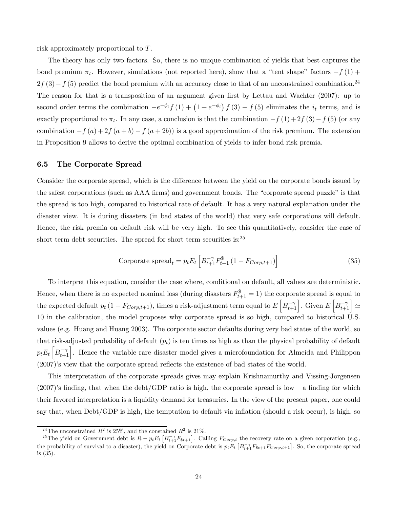risk approximately proportional to T.

The theory has only two factors. So, there is no unique combination of yields that best captures the bond premium  $\pi_t$ . However, simulations (not reported here), show that a "tent shape" factors  $-f(1)$  +  $2f(3)-f(5)$  predict the bond premium with an accuracy close to that of an unconstrained combination.<sup>24</sup> The reason for that is a transposition of an argument given first by Lettau and Wachter (2007): up to second order terms the combination  $-e^{-\phi_i}f(1) + (1 + e^{-\phi_i}) f(3) - f(5)$  eliminates the  $i_t$  terms, and is exactly proportional to  $\pi_t$ . In any case, a conclusion is that the combination  $-f(1)+2f(3)-f(5)$  (or any combination  $-f(a)+2f(a+b)-f(a+2b)$  is a good approximation of the risk premium. The extension in Proposition 9 allows to derive the optimal combination of yields to infer bond risk premia.

#### 6.5 The Corporate Spread

Consider the corporate spread, which is the difference between the yield on the corporate bonds issued by the safest corporations (such as AAA firms) and government bonds. The "corporate spread puzzle" is that the spread is too high, compared to historical rate of default. It has a very natural explanation under the disaster view. It is during disasters (in bad states of the world) that very safe corporations will default. Hence, the risk premia on default risk will be very high. To see this quantitatively, consider the case of short term debt securities. The spread for short term securities is:<sup>25</sup>

$$
\text{Corporate spread}_{t} = p_t E_t \left[ B_{t+1}^{-\gamma} F_{t+1}^{\$} \left( 1 - F_{Corp,t+1} \right) \right] \tag{35}
$$

To interpret this equation, consider the case where, conditional on default, all values are deterministic. Hence, when there is no expected nominal loss (during disasters  $F_{t+1}^{\$} = 1$ ) the corporate spread is equal to the expected default  $p_t(1 - F_{Corp,t+1})$ , times a risk-adjustment term equal to  $E\left[B_{t+1}^{-\gamma}\right]$ . Given  $E\left[B_{t+1}^{-\gamma}\right] \simeq$ 10 in the calibration, the model proposes why corporate spread is so high, compared to historical U.S. values (e.g. Huang and Huang 2003). The corporate sector defaults during very bad states of the world, so that risk-adjusted probability of default  $(p_t)$  is ten times as high as than the physical probability of default  $p_t E_t \left[ B_{t+1}^{-\gamma} \right]$ . Hence the variable rare disaster model gives a microfoundation for Almeida and Philippon (2007)'s view that the corporate spread reflects the existence of bad states of the world.

This interpretation of the corporate spreads gives may explain Krishnamurthy and Vissing-Jorgensen  $(2007)$ 's finding, that when the debt/GDP ratio is high, the corporate spread is low – a finding for which their favored interpretation is a liquidity demand for treasuries. In the view of the present paper, one could say that, when Debt/GDP is high, the temptation to default via inflation (should a risk occur), is high, so

<sup>&</sup>lt;sup>24</sup>The unconstrained  $R^2$  is 25%, and the constained  $R^2$  is 21%.

<sup>&</sup>lt;sup>25</sup>The yield on Government debt is  $R - p_t E_t \left[ B_{t+1}^{-\gamma} F_{t+1} \right]$ . Calling  $F_{Corp,t}$  the recovery rate on a given corporation (e.g., the probability of survival to a disaster), the yield on Corporate debt is  $p_t E_t \left[ B_{t+1}^{-\gamma} F_{8t+1} F_{Corp,t+1} \right]$ . So, the corporate spread is (35).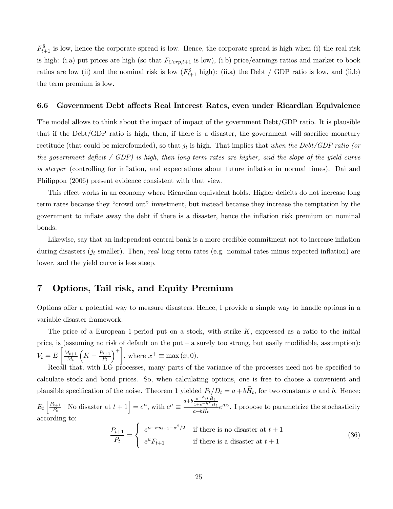$F_{t+1}^{\$}$  is low, hence the corporate spread is low. Hence, the corporate spread is high when (i) the real risk is high: (i.a) put prices are high (so that  $F_{Corp,t+1}$  is low), (i.b) price/earnings ratios and market to book ratios are low (ii) and the nominal risk is low  $(F_{t+1}^{\$})$  high): (ii.a) the Debt / GDP ratio is low, and (ii.b) the term premium is low.

#### 6.6 Government Debt affects Real Interest Rates, even under Ricardian Equivalence

The model allows to think about the impact of impact of the government Debt/GDP ratio. It is plausible that if the Debt/GDP ratio is high, then, if there is a disaster, the government will sacrifice monetary rectitude (that could be microfounded), so that  $j_t$  is high. That implies that when the Debt/GDP ratio (or the government deficit / GDP) is high, then long-term rates are higher, and the slope of the yield curve is steeper (controlling for inflation, and expectations about future inflation in normal times). Dai and Philippon (2006) present evidence consistent with that view.

This effect works in an economy where Ricardian equivalent holds. Higher deficits do not increase long term rates because they "crowd out" investment, but instead because they increase the temptation by the government to inflate away the debt if there is a disaster, hence the inflation risk premium on nominal bonds.

Likewise, say that an independent central bank is a more credible commitment not to increase inflation during disasters  $(j_t \text{ smaller})$ . Then, real long term rates (e.g. nominal rates minus expected inflation) are lower, and the yield curve is less steep.

# 7 Options, Tail risk, and Equity Premium

Options offer a potential way to measure disasters. Hence, I provide a simple way to handle options in a variable disaster framework.

The price of a European 1-period put on a stock, with strike  $K$ , expressed as a ratio to the initial price, is (assuming no risk of default on the put — a surely too strong, but easily modifiable, assumption):  $V_t = E$  $\left[ \right] M_{t+1}$  $M_t$  $\left(K - \frac{P_{t+1}}{P_t}\right)$  $\Big)^{+}$ , where  $x^{+} \equiv \max(x, 0)$ .

Recall that, with LG processes, many parts of the variance of the processes need not be specified to calculate stock and bond prices. So, when calculating options, one is free to choose a convenient and plausible specification of the noise. Theorem 1 yielded  $P_t/D_t = a + b\hat{H}_t$ , for two constants a and b. Hence:  $E_t\left[\frac{P_{t+1}}{P_t}\middle| \text{ No disaster at } t+1\right] = e^{\mu}$ , with  $e^{\mu} \equiv \frac{a+b\frac{e^{-\phi}H\hat{H}_t}{1+e^{-h^*}\hat{H}_t}}{a+b\hat{H}_t}$  $1+e^{-h^*}\hat{H}_t$  $\frac{1+e^{-h^*}\hat{H}_t}{a+b\hat{H}_t}e^{g_D}$ . I propose to parametrize the stochasticity according to:

$$
\frac{P_{t+1}}{P_t} = \begin{cases} e^{\mu + \sigma u_{t+1} - \sigma^2/2} & \text{if there is no disaster at } t+1\\ e^{\mu}F_{t+1} & \text{if there is a disaster at } t+1 \end{cases}
$$
(36)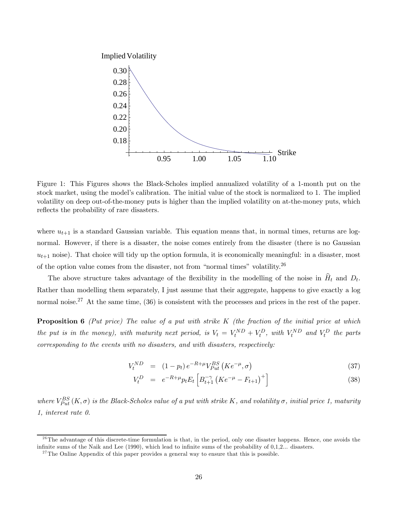

Figure 1: This Figures shows the Black-Scholes implied annualized volatility of a 1-month put on the stock market, using the model's calibration. The initial value of the stock is normalized to 1. The implied volatility on deep out-of-the-money puts is higher than the implied volatility on at-the-money puts, which reflects the probability of rare disasters.

where  $u_{t+1}$  is a standard Gaussian variable. This equation means that, in normal times, returns are lognormal. However, if there is a disaster, the noise comes entirely from the disaster (there is no Gaussian  $u_{t+1}$  noise). That choice will tidy up the option formula, it is economically meaningful: in a disaster, most of the option value comes from the disaster, not from "normal times" volatility.<sup>26</sup>

The above structure takes advantage of the flexibility in the modelling of the noise in  $\hat{H}_t$  and  $D_t$ . Rather than modelling them separately, I just assume that their aggregate, happens to give exactly a log normal noise.<sup>27</sup> At the same time, (36) is consistent with the processes and prices in the rest of the paper.

**Proposition 6** (Put price) The value of a put with strike  $K$  (the fraction of the initial price at which the put is in the money), with maturity next period, is  $V_t = V_t^{ND} + V_t^D$ , with  $V_t^{ND}$  and  $V_t^D$  the parts corresponding to the events with no disasters, and with disasters, respectively:

$$
V_t^{ND} = (1 - p_t) e^{-R + \mu} V_{Put}^{BS} (K e^{-\mu}, \sigma)
$$
\n(37)

$$
V_t^D = e^{-R+\mu} p_t E_t \left[ B_{t+1}^{-\gamma} \left( K e^{-\mu} - F_{t+1} \right)^+ \right] \tag{38}
$$

where  $V_{Put}^{BS}(K,\sigma)$  is the Black-Scholes value of a put with strike K, and volatility  $\sigma$ , initial price 1, maturity 1, interest rate 0.

 $2<sup>6</sup>$ The advantage of this discrete-time formulation is that, in the period, only one disaster happens. Hence, one avoids the infinite sums of the Naik and Lee (1990), which lead to infinite sums of the probability of 0,1,2... disasters.

<sup>&</sup>lt;sup>27</sup>The Online Appendix of this paper provides a general way to ensure that this is possible.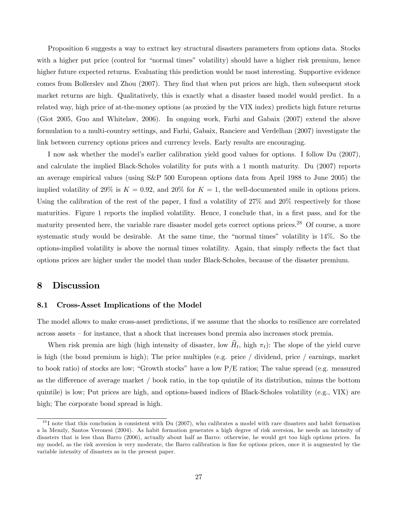Proposition 6 suggests a way to extract key structural disasters parameters from options data. Stocks with a higher put price (control for "normal times" volatility) should have a higher risk premium, hence higher future expected returns. Evaluating this prediction would be most interesting. Supportive evidence comes from Bollerslev and Zhou (2007). They find that when put prices are high, then subsequent stock market returns are high. Qualitatively, this is exactly what a disaster based model would predict. In a related way, high price of at-the-money options (as proxied by the VIX index) predicts high future returns (Giot 2005, Guo and Whitelaw, 2006). In ongoing work, Farhi and Gabaix (2007) extend the above formulation to a multi-country settings, and Farhi, Gabaix, Ranciere and Verdelhan (2007) investigate the link between currency options prices and currency levels. Early results are encouraging.

I now ask whether the model's earlier calibration yield good values for options. I follow Du (2007), and calculate the implied Black-Scholes volatility for puts with a 1 month maturity. Du (2007) reports an average empirical values (using S&P 500 European options data from April 1988 to June 2005) the implied volatility of 29% is  $K = 0.92$ , and 20% for  $K = 1$ , the well-documented smile in options prices. Using the calibration of the rest of the paper, I find a volatility of  $27\%$  and  $20\%$  respectively for those maturities. Figure 1 reports the implied volatility. Hence, I conclude that, in a first pass, and for the maturity presented here, the variable rare disaster model gets correct options prices.<sup>28</sup> Of course, a more systematic study would be desirable. At the same time, the "normal times" volatility is 14%. So the options-implied volatility is above the normal times volatility. Again, that simply reflects the fact that options prices are higher under the model than under Black-Scholes, because of the disaster premium.

### 8 Discussion

#### 8.1 Cross-Asset Implications of the Model

The model allows to make cross-asset predictions, if we assume that the shocks to resilience are correlated across assets — for instance, that a shock that increases bond premia also increases stock premia.

When risk premia are high (high intensity of disaster, low  $\hat{H}_t$ , high  $\pi_t$ ): The slope of the yield curve is high (the bond premium is high); The price multiples (e.g. price / dividend, price / earnings, market to book ratio) of stocks are low; "Growth stocks" have a low P/E ratios; The value spread (e.g. measured as the difference of average market / book ratio, in the top quintile of its distribution, minus the bottom quintile) is low; Put prices are high, and options-based indices of Black-Scholes volatility (e.g., VIX) are high; The corporate bond spread is high.

 $^{28}$ I note that this conclusion is consistent with Du (2007), who calibrates a model with rare disasters and habit formation a la Menzly, Santos Veronesi (2004). As habit formation generates a high degree of risk aversion, he needs an intensity of disasters that is less than Barro (2006), actually about half as Barro: otherwise, he would get too high options prices. In my model, as the risk aversion is very moderate, the Barro calibration is fine for options prices, once it is augmented by the variable intensity of disasters as in the present paper.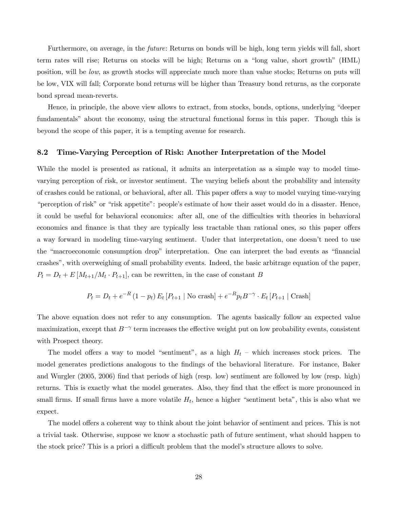Furthermore, on average, in the future: Returns on bonds will be high, long term yields will fall, short term rates will rise; Returns on stocks will be high; Returns on a "long value, short growth" (HML) position, will be low, as growth stocks will appreciate much more than value stocks; Returns on puts will be low, VIX will fall; Corporate bond returns will be higher than Treasury bond returns, as the corporate bond spread mean-reverts.

Hence, in principle, the above view allows to extract, from stocks, bonds, options, underlying "deeper fundamentals" about the economy, using the structural functional forms in this paper. Though this is beyond the scope of this paper, it is a tempting avenue for research.

#### 8.2 Time-Varying Perception of Risk: Another Interpretation of the Model

While the model is presented as rational, it admits an interpretation as a simple way to model timevarying perception of risk, or investor sentiment. The varying beliefs about the probability and intensity of crashes could be rational, or behavioral, after all. This paper offers a way to model varying time-varying "perception of risk" or "risk appetite": people's estimate of how their asset would do in a disaster. Hence, it could be useful for behavioral economics: after all, one of the difficulties with theories in behavioral economics and finance is that they are typically less tractable than rational ones, so this paper offers a way forward in modeling time-varying sentiment. Under that interpretation, one doesn't need to use the "macroeconomic consumption drop" interpretation. One can interpret the bad events as "financial crashes", with overweighing of small probability events. Indeed, the basic arbitrage equation of the paper,  $P_t = D_t + E[M_{t+1}/M_t \cdot P_{t+1}],$  can be rewritten, in the case of constant B

$$
P_t = D_t + e^{-R} (1 - p_t) E_t [P_{t+1} | \text{No crash}] + e^{-R} p_t B^{-\gamma} \cdot E_t [P_{t+1} | \text{Crash}]
$$

The above equation does not refer to any consumption. The agents basically follow an expected value maximization, except that  $B^{-\gamma}$  term increases the effective weight put on low probability events, consistent with Prospect theory.

The model offers a way to model "sentiment", as a high  $H_t$  – which increases stock prices. The model generates predictions analogous to the findings of the behavioral literature. For instance, Baker and Wurgler (2005, 2006) find that periods of high (resp. low) sentiment are followed by low (resp. high) returns. This is exactly what the model generates. Also, they find that the effect is more pronounced in small firms. If small firms have a more volatile  $H_t$ , hence a higher "sentiment beta", this is also what we expect.

The model offers a coherent way to think about the joint behavior of sentiment and prices. This is not a trivial task. Otherwise, suppose we know a stochastic path of future sentiment, what should happen to the stock price? This is a priori a difficult problem that the model's structure allows to solve.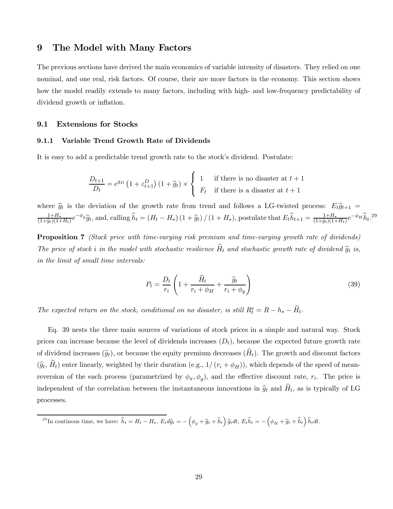### 9 The Model with Many Factors

The previous sections have derived the main economics of variable intensity of disasters. They relied on one nominal, and one real, risk factors. Of course, their are more factors in the economy. This section shows how the model readily extends to many factors, including with high- and low-frequency predictability of dividend growth or inflation.

#### 9.1 Extensions for Stocks

#### 9.1.1 Variable Trend Growth Rate of Dividends

It is easy to add a predictable trend growth rate to the stock's dividend. Postulate:

$$
\frac{D_{t+1}}{D_t} = e^{g_D} \left( 1 + \varepsilon_{t+1}^D \right) \left( 1 + \widehat{g}_t \right) \times \begin{cases} 1 & \text{if there is no disaster at } t+1 \\ F_t & \text{if there is a disaster at } t+1 \end{cases}
$$

where  $\hat{g}_t$  is the deviation of the growth rate from trend and follows a LG-twisted process:  $E_t\hat{g}_{t+1}$  =  $\frac{1+H_*}{(1+\hat{g}_t)(1+H_t)}e^{-\phi_g}\hat{g}_t$ , and, calling  $\hat{h}_t = (H_t - H_*) (1+\hat{g}_t) / (1+H_*)$ , postulate that  $E_t\hat{h}_{t+1} = \frac{1+H_*}{(1+\hat{g}_t)(1+H_t)}e^{-\phi_H}\hat{h}_t$ .<sup>29</sup>

**Proposition 7** (Stock price with time-varying risk premium and time-varying growth rate of dividends) The price of stock i in the model with stochastic resilience  $\widehat{H}_t$  and stochastic growth rate of dividend  $\widehat{g}_t$  is, in the limit of small time intervals:

$$
P_t = \frac{D_t}{r_i} \left( 1 + \frac{\widehat{H}_t}{r_i + \phi_H} + \frac{\widehat{g}_t}{r_i + \phi_g} \right)
$$
(39)

The expected return on the stock, conditional on no disaster, is still  $R_t^e = R - h_* - \widehat{H}_t$ .

Eq. 39 nests the three main sources of variations of stock prices in a simple and natural way. Stock prices can increase because the level of dividends increases  $(D_t)$ , because the expected future growth rate of dividend increases  $(\widehat{g}_t)$ , or because the equity premium decreases  $(\widehat{H}_t)$ . The growth and discount factors  $(\widehat{g}_t, \widehat{H}_t)$  enter linearly, weighted by their duration (e.g.,  $1/(r_i + \phi_H)$ ), which depends of the speed of meanreversion of the each process (parametrized by  $\phi_{\pi}, \phi_{g}$ ), and the effective discount rate,  $r_i$ . The price is independent of the correlation between the instantaneous innovations in  $\hat{g}_t$  and  $\hat{H}_t$ , as is typically of LG processes.

<sup>29</sup>In continous time, we have:  $\hat{h}_t = H_t - H_*$ ,  $E_t d\hat{g}_t = -(\phi_g + \hat{g}_t + \hat{h}_t) \hat{g}_t dt$ ,  $E_t \hat{h}_t = -(\phi_H + \hat{g}_t + \hat{h}_t) \hat{h}_t dt$ .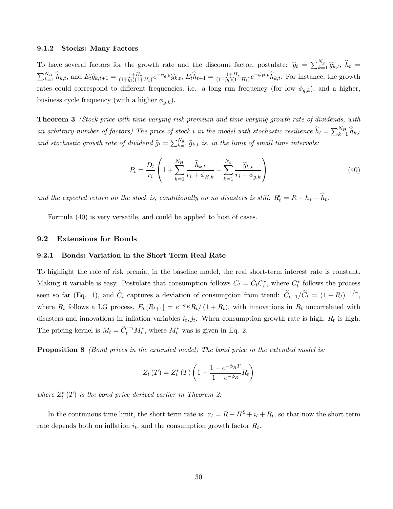#### 9.1.2 Stocks: Many Factors

To have several factors for the growth rate and the discount factor, postulate:  $\hat{g}_t = \sum_{k=1}^{N_g} \hat{g}_{k,t}, \hat{h}_t =$  $\sum_{k=1}^{N_H} \hat{h}_{k,t}$ , and  $E_t \hat{g}_{k,t+1} = \frac{1+H_*}{(1+\hat{g}_t)(1+H_t)} e^{-\phi_{g,k}} \hat{g}_{k,t}$ ,  $E_t \hat{h}_{t+1} = \frac{1+H_*}{(1+\hat{g}_t)(1+H_t)} e^{-\phi_{H,k}} \hat{h}_{k,t}$ . For instance, the growth rates could correspond to different frequencies, i.e. a long run frequency (for low  $\phi_{q,k}$ ), and a higher, business cycle frequency (with a higher  $\phi_{a,k}$ ).

Theorem 3 (Stock price with time-varying risk premium and time-varying growth rate of dividends, with an arbitrary number of factors) The price of stock i in the model with stochastic resilience  $\widehat{h}_t = \sum_{k=1}^{N_H} \widehat{h}_{k,t}$ and stochastic growth rate of dividend  $\hat{g}_t = \sum_{k=1}^{N_g} \hat{g}_{k,t}$  is, in the limit of small time intervals:

$$
P_t = \frac{D_t}{r_i} \left( 1 + \sum_{k=1}^{N_H} \frac{\widehat{h}_{k,t}}{r_i + \phi_{H,k}} + \sum_{k=1}^{N_g} \frac{\widehat{g}_{k,t}}{r_i + \phi_{g,k}} \right)
$$
(40)

and the expected return on the stock is, conditionally on no disasters is still:  $R_t^e = R - h_* - \widehat{h}_t$ .

Formula (40) is very versatile, and could be applied to host of cases.

#### 9.2 Extensions for Bonds

#### 9.2.1 Bonds: Variation in the Short Term Real Rate

To highlight the role of risk premia, in the baseline model, the real short-term interest rate is constant. Making it variable is easy. Postulate that consumption follows  $C_t = C_t C_t^*$ , where  $C_t^*$  follows the process seen so far (Eq. 1), and  $\tilde{C}_t$  captures a deviation of consumption from trend:  $\tilde{C}_{t+1}/\tilde{C}_t = (1 - R_t)^{-1/\gamma}$ , where  $R_t$  follows a LG process,  $E_t[R_{t+1}] = e^{-\phi_R}R_t/(1 + R_t)$ , with innovations in  $R_t$  uncorrelated with disasters and innovations in inflation variables  $i_t, j_t$ . When consumption growth rate is high,  $R_t$  is high. The pricing kernel is  $M_t = \tilde{C}_t^{-\gamma} M_t^*$ , where  $M_t^*$  was is given in Eq. 2.

**Proposition 8** (Bond prices in the extended model) The bond price in the extended model is:

$$
Z_t(T) = Z_t^* (T) \left( 1 - \frac{1 - e^{-\phi_R T}}{1 - e^{-\phi_R}} R_t \right)
$$

where  $Z_t^*(T)$  is the bond price derived earlier in Theorem 2.

In the continuous time limit, the short term rate is:  $r_t = R - H^* + i_t + R_t$ , so that now the short term rate depends both on inflation  $i_t$ , and the consumption growth factor  $R_t$ .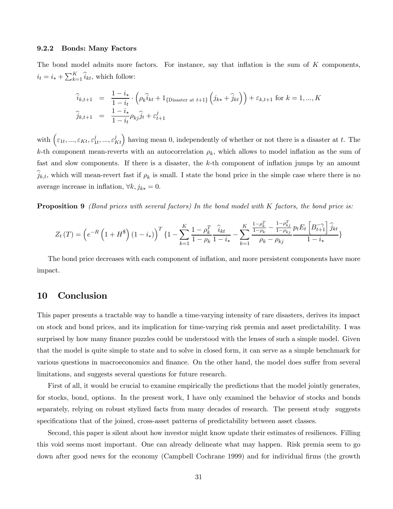#### 9.2.2 Bonds: Many Factors

The bond model admits more factors. For instance, say that inflation is the sum of  $K$  components,  $i_t = i_* + \sum_{k=1}^{K} \hat{i}_{kt}$ , which follow:

$$
\begin{aligned}\n\hat{i}_{k,t+1} &= \frac{1 - i_*}{1 - i_t} \cdot \left( \rho_k \hat{i}_{kt} + 1_{\{\text{Disaster at } t+1\}} \left( j_{k*} + \hat{j}_{kt} \right) \right) + \varepsilon_{k,t+1} \text{ for } k = 1, ..., K \\
\hat{j}_{k,t+1} &= \frac{1 - i_*}{1 - i_t} \rho_{kj} \hat{j}_t + \varepsilon_{t+1}^j\n\end{aligned}
$$

with  $(\varepsilon_{1t},...,\varepsilon_{Kt},\varepsilon_{1t}^{j},...,\varepsilon_{Kt}^{j})$  having mean 0, independently of whether or not there is a disaster at t. The k-th component mean-reverts with an autocorrelation  $\rho_k$ , which allows to model inflation as the sum of fast and slow components. If there is a disaster, the k-th component of inflation jumps by an amount  $\hat{j}_{k,t}$ , which will mean-revert fast if  $\rho_k$  is small. I state the bond price in the simple case where there is no average increase in inflation,  $\forall k, j_{k*} = 0$ .

**Proposition 9** (Bond prices with several factors) In the bond model with K factors, the bond price is:

$$
Z_{t}(T) = \left(e^{-R}\left(1+H^{\$}\right)(1-i_{*})\right)^{T}\left\{1-\sum_{k=1}^{K}\frac{1-\rho_{k}^{T}}{1-\rho_{k}}\frac{\widehat{i}_{kt}}{1-i_{*}}-\sum_{k=1}^{K}\frac{\frac{1-\rho_{k}^{T}}{1-\rho_{k}}-\frac{1-\rho_{kj}^{T}}{1-\rho_{kj}}}{\rho_{k}-\rho_{kj}}\frac{p_{t}E_{t}\left[B_{t+1}^{-\gamma}\right]\widehat{j}_{kt}}{1-i_{*}}\right\}
$$

The bond price decreases with each component of inflation, and more persistent components have more impact.

## 10 Conclusion

This paper presents a tractable way to handle a time-varying intensity of rare disasters, derives its impact on stock and bond prices, and its implication for time-varying risk premia and asset predictability. I was surprised by how many finance puzzles could be understood with the lenses of such a simple model. Given that the model is quite simple to state and to solve in closed form, it can serve as a simple benchmark for various questions in macroeconomics and finance. On the other hand, the model does suffer from several limitations, and suggests several questions for future research.

First of all, it would be crucial to examine empirically the predictions that the model jointly generates, for stocks, bond, options. In the present work, I have only examined the behavior of stocks and bonds separately, relying on robust stylized facts from many decades of research. The present study suggests specifications that of the joined, cross-asset patterns of predictability between asset classes.

Second, this paper is silent about how investor might know update their estimates of resiliences. Filling this void seems most important. One can already delineate what may happen. Risk premia seem to go down after good news for the economy (Campbell Cochrane 1999) and for individual firms (the growth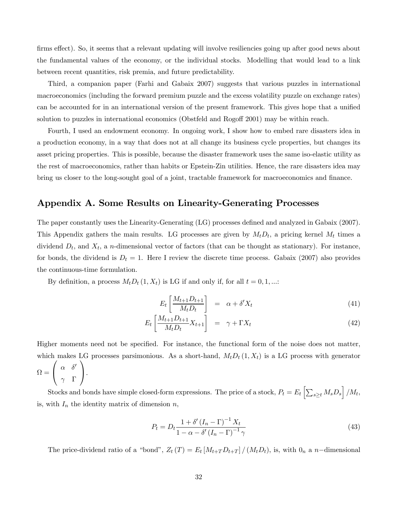firms effect). So, it seems that a relevant updating will involve resiliencies going up after good news about the fundamental values of the economy, or the individual stocks. Modelling that would lead to a link between recent quantities, risk premia, and future predictability.

Third, a companion paper (Farhi and Gabaix 2007) suggests that various puzzles in international macroeconomics (including the forward premium puzzle and the excess volatility puzzle on exchange rates) can be accounted for in an international version of the present framework. This gives hope that a unified solution to puzzles in international economics (Obstfeld and Rogoff 2001) may be within reach.

Fourth, I used an endowment economy. In ongoing work, I show how to embed rare disasters idea in a production economy, in a way that does not at all change its business cycle properties, but changes its asset pricing properties. This is possible, because the disaster framework uses the same iso-elastic utility as the rest of macroeconomics, rather than habits or Epstein-Zin utilities. Hence, the rare disasters idea may bring us closer to the long-sought goal of a joint, tractable framework for macroeconomics and finance.

# Appendix A. Some Results on Linearity-Generating Processes

The paper constantly uses the Linearity-Generating (LG) processes defined and analyzed in Gabaix (2007). This Appendix gathers the main results. LG processes are given by  $M_t D_t$ , a pricing kernel  $M_t$  times a dividend  $D_t$ , and  $X_t$ , a *n*-dimensional vector of factors (that can be thought as stationary). For instance, for bonds, the dividend is  $D_t = 1$ . Here I review the discrete time process. Gabaix (2007) also provides the continuous-time formulation.

By definition, a process  $M_t D_t (1, X_t)$  is LG if and only if, for all  $t = 0, 1, ...$ :

$$
E_t \left[ \frac{M_{t+1} D_{t+1}}{M_t D_t} \right] = \alpha + \delta' X_t \tag{41}
$$

$$
E_t \left[ \frac{M_{t+1} D_{t+1}}{M_t D_t} X_{t+1} \right] = \gamma + \Gamma X_t \tag{42}
$$

Higher moments need not be specified. For instance, the functional form of the noise does not matter, which makes LG processes parsimonious. As a short-hand,  $M_tD_t(1, X_t)$  is a LG process with generator

$$
\Omega = \left( \begin{array}{cc} \alpha & \delta' \\ \gamma & \Gamma \end{array} \right).
$$

Stocks and bonds have simple closed-form expressions. The price of a stock,  $P_t = E_t \left[ \sum_{s \geq t} M_s D_s \right] / M_t$ , is, with  $I_n$  the identity matrix of dimension  $n$ ,

$$
P_t = D_t \frac{1 + \delta' \left(I_n - \Gamma\right)^{-1} X_t}{1 - \alpha - \delta' \left(I_n - \Gamma\right)^{-1} \gamma} \tag{43}
$$

The price-dividend ratio of a "bond",  $Z_t(T) = E_t \left[ M_{t+T} D_{t+T} \right] / (M_t D_t)$ , is, with  $0_n$  a n-dimensional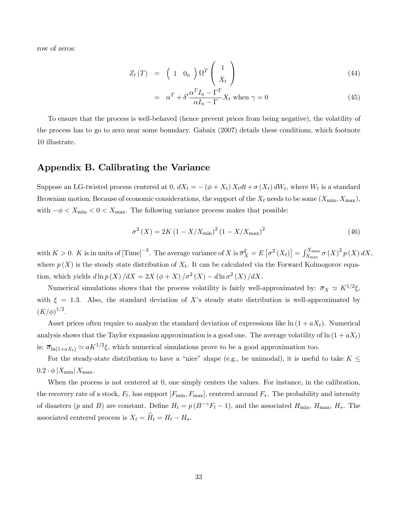row of zeros:

$$
Z_t(T) = \left(1 \ 0_n\right) \Omega^T \left(\frac{1}{X_t}\right) \tag{44}
$$

$$
= \alpha^T + \delta' \frac{\alpha^T I_n - \Gamma^T}{\alpha I_n - \Gamma} X_t \text{ when } \gamma = 0 \tag{45}
$$

To ensure that the process is well-behaved (hence prevent prices from being negative), the volatility of the process has to go to zero near some boundary. Gabaix (2007) details these conditions, which footnote 10 illustrate.

# Appendix B. Calibrating the Variance

Suppose an LG-twisted process centered at 0,  $dX_t = -(\phi + X_t) X_t dt + \sigma(X_t) dW_t$ , where  $W_t$  is a standard Brownian motion. Because of economic considerations, the support of the  $X_t$  needs to be some  $(X_{\min}, X_{\max})$ , with  $-\phi < X_{\min} < 0 < X_{\max}$ . The following variance process makes that possible:

$$
\sigma^{2}(X) = 2K\left(1 - X/X_{\text{min}}\right)^{2}\left(1 - X/X_{\text{max}}\right)^{2}
$$
\n(46)

with  $K > 0$ . K is in units of  $[\text{Time}]^{-3}$ . The average variance of X is  $\overline{\sigma}_X^2 = E[\sigma^2(X_t)] = \int_{X_{\text{min}}}^{X_{\text{max}}} \sigma(X)^2 p(X) dX$ , where  $p(X)$  is the steady state distribution of  $X_t$ . It can be calculated via the Forward Kolmogorov equation, which yields  $d\ln p(X)/dX = 2X (\phi + X)/\sigma^2(X) - d\ln \sigma^2(X)/dX$ .

Numerical simulations shows that the process volatility is fairly well-approximated by:  $\overline{\sigma}_X \simeq K^{1/2}\xi$ , with  $\xi = 1.3$ . Also, the standard deviation of X's steady state distribution is well-approximated by  $(K/\phi)^{1/2}.$ 

Asset prices often require to analyze the standard deviation of expressions like  $\ln(1 + aX_t)$ . Numerical analysis shows that the Taylor expansion approximation is a good one. The average volatility of  $\ln(1 + aX_t)$ is:  $\overline{\sigma}_{\ln(1+aX_t)} \simeq aK^{1/2}\xi$ , which numerical simulations prove to be a good approximation too.

For the steady-state distribution to have a "nice" shape (e.g., be unimodal), it is useful to take  $K \leq$  $0.2 \cdot \phi$   $|X_{\text{min}}| X_{\text{max}}$ .

When the process is not centered at 0, one simply centers the values. For instance, in the calibration, the recovery rate of a stock,  $F_t$ , has support  $[F_{\min}, F_{\max}]$ , centered around  $F_*$ . The probability and intensity of disasters (p and B) are constant. Define  $H_t = p(B^{-\gamma}F_t - 1)$ , and the associated  $H_{\text{min}}$ ,  $H_{\text{max}}$ ,  $H_*$ . The associated centered process is  $X_t = \hat{H}_t - H_*$ .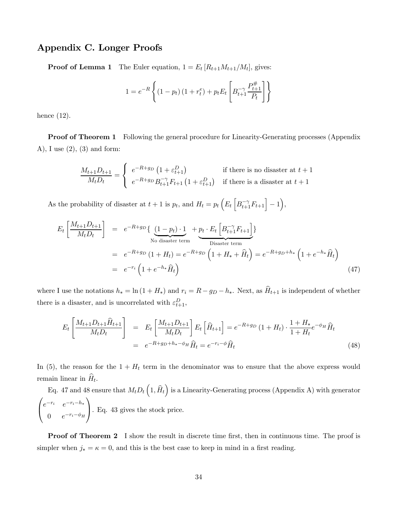# Appendix C. Longer Proofs

**Proof of Lemma 1** The Euler equation,  $1 = E_t [R_{t+1}M_{t+1}/M_t]$ , gives:

$$
1 = e^{-R} \left\{ (1 - p_t) (1 + r_t^e) + p_t E_t \left[ B_{t+1}^{-\gamma} \frac{P_{t+1}^{\#}}{P_t} \right] \right\}
$$

hence (12).

**Proof of Theorem 1** Following the general procedure for Linearity-Generating processes (Appendix A), I use (2), (3) and form:

$$
\frac{M_{t+1}D_{t+1}}{M_tD_t} = \begin{cases} e^{-R+g_D} \left(1 + \varepsilon_{t+1}^D\right) & \text{if there is no disaster at } t+1\\ e^{-R+g_D} B_{t+1}^{-\gamma} F_{t+1} \left(1 + \varepsilon_{t+1}^D\right) & \text{if there is a disaster at } t+1 \end{cases}
$$

As the probability of disaster at  $t + 1$  is  $p_t$ , and  $H_t = p_t \left( E_t \left[ B_{t+1}^{-\gamma} F_{t+1} \right] - 1 \right)$ ,

$$
E_t \left[ \frac{M_{t+1} D_{t+1}}{M_t D_t} \right] = e^{-R+g_D} \left\{ \underbrace{(1-p_t) \cdot 1}_{\text{No disaster term}} + \underbrace{p_t \cdot E_t \left[ B_{t+1}^{-\gamma} F_{t+1} \right]}_{\text{Disaster term}} \right\}
$$
  
\n
$$
= e^{-R+g_D} \left( 1 + H_t \right) = e^{-R+g_D} \left( 1 + H_* + \widehat{H}_t \right) = e^{-R+g_D+h_*} \left( 1 + e^{-h_*} \widehat{H}_t \right)
$$
  
\n
$$
= e^{-r_i} \left( 1 + e^{-h_*} \widehat{H}_t \right)
$$
\n(47)

where I use the notations  $h_* = \ln(1 + H_*)$  and  $r_i = R - g_D - h_*$ . Next, as  $\hat{H}_{t+1}$  is independent of whether there is a disaster, and is uncorrelated with  $\varepsilon_{t+1}^D$ ,

$$
E_t \left[ \frac{M_{t+1} D_{t+1} \hat{H}_{t+1}}{M_t D_t} \right] = E_t \left[ \frac{M_{t+1} D_{t+1}}{M_t D_t} \right] E_t \left[ \hat{H}_{t+1} \right] = e^{-R+g_D} \left( 1 + H_t \right) \cdot \frac{1 + H_*}{1 + H_t} e^{-\phi_H} \hat{H}_t
$$
\n
$$
= e^{-R+g_D+h_*-\phi_H} \hat{H}_t = e^{-r_i-\phi} \hat{H}_t
$$
\n(48)

In (5), the reason for the  $1 + H_t$  term in the denominator was to ensure that the above express would remain linear in  $\hat{H}_t$ .

Eq. 47 and 48 ensure that  $M_t D_t\left(1,\widehat{H}_t\right)$  is a Linearity-Generating process (Appendix A) with generator  $\sqrt{ }$  $\mathsf{I}$  $e^{-r_i}$   $e^{-r_i-h_i}$ 0  $e^{-r_i-\phi_H}$  $\sqrt{2}$ ⎠. Eq. 43 gives the stock price.

**Proof of Theorem 2** I show the result in discrete time first, then in continuous time. The proof is simpler when  $j_* = \kappa = 0$ , and this is the best case to keep in mind in a first reading.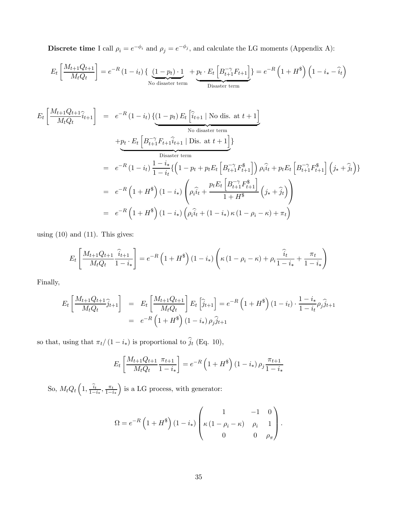Discrete time I call  $\rho_i = e^{-\phi_i}$  and  $\rho_j = e^{-\phi_j}$ , and calculate the LG moments (Appendix A):

$$
E_t\left[\frac{M_{t+1}Q_{t+1}}{M_tQ_t}\right] = e^{-R}\left(1-i_t\right)\left\{\underbrace{\left(1-p_t\right)\cdot 1}_{\text{No disaster term}} + \underbrace{p_t\cdot E_t\left[B_{t+1}^{-\gamma}F_{t+1}\right]}_{\text{Disaster term}}\right\} = e^{-R}\left(1+H^{\$}\right)\left(1-i_*-\hat{i}_t\right)
$$

$$
E_t \left[ \frac{M_{t+1}Q_{t+1}}{M_tQ_t} \hat{i}_{t+1} \right] = e^{-R} (1 - i_t) \left\{ \left( 1 - p_t \right) E_t \left[ \hat{i}_{t+1} \mid \text{No dis. at } t+1 \right] \right\}
$$
  
\nNo disaster term  
\n
$$
+ p_t \cdot E_t \left[ B_{t+1}^{-\gamma} F_{t+1} \hat{i}_{t+1} \mid \text{Dis. at } t+1 \right] \}
$$
  
\nDisaster term  
\n
$$
= e^{-R} (1 - i_t) \frac{1 - i_t}{1 - i_t} \left\{ \left( 1 - p_t + p_t E_t \left[ B_{t+1}^{-\gamma} F_{t+1}^* \right] \right) \rho_i \hat{i}_t + p_t E_t \left[ B_{t+1}^{-\gamma} F_{t+1}^* \right] \left( j_* + \hat{j}_t \right) \right\}
$$
  
\n
$$
= e^{-R} \left( 1 + H^* \right) (1 - i_*) \left( \rho_i \hat{i}_t + \frac{p_t E_t \left[ B_{t+1}^{-\gamma} F_{t+1}^* \right]}{1 + H^*} \left( j_* + \hat{j}_t \right) \right)
$$
  
\n
$$
= e^{-R} \left( 1 + H^* \right) (1 - i_*) \left( \rho_i \hat{i}_t + (1 - i_*) \kappa (1 - \rho_i - \kappa) + \pi_t \right)
$$

using  $(10)$  and  $(11)$ . This gives:

$$
E_t\left[\frac{M_{t+1}Q_{t+1}}{M_tQ_t}\frac{\hat{i}_{t+1}}{1-i_*}\right] = e^{-R}\left(1+H^{\$}\right)\left(1-i_*\right)\left(\kappa\left(1-\rho_i-\kappa\right)+\rho_i\frac{\hat{i}_t}{1-i_*}+\frac{\pi_t}{1-i_*}\right)
$$

Finally,

$$
E_t\left[\frac{M_{t+1}Q_{t+1}}{M_tQ_t}\hat{j}_{t+1}\right] = E_t\left[\frac{M_{t+1}Q_{t+1}}{M_tQ_t}\right]E_t\left[\hat{j}_{t+1}\right] = e^{-R}\left(1+H^{\$}\right)\left(1-i_t\right)\cdot\frac{1-i_*}{1-i_t}\rho_j\hat{j}_{t+1}
$$

$$
= e^{-R}\left(1+H^{\$}\right)\left(1-i_*\right)\rho_j\hat{j}_{t+1}
$$

so that, using that  $\pi_t/(1-i_*)$  is proportional to  $\hat{j}_t$  (Eq. 10),

$$
E_t \left[ \frac{M_{t+1} Q_{t+1}}{M_t Q_t} \frac{\pi_{t+1}}{1 - i_*} \right] = e^{-R} \left( 1 + H^{\$} \right) \left( 1 - i_* \right) \rho_j \frac{\pi_{t+1}}{1 - i_*}
$$

So,  $M_t Q_t \left( 1, \frac{\hat{i}_t}{1 - i_*}, \frac{\pi_t}{1 - i_*} \right)$ ) is a LG process, with generator:

$$
\Omega = e^{-R} \left( 1 + H^{\$} \right) \left( 1 - i_{*} \right) \begin{pmatrix} 1 & -1 & 0 \\ \kappa \left( 1 - \rho_{i} - \kappa \right) & \rho_{i} & 1 \\ 0 & 0 & \rho_{\pi} \end{pmatrix}.
$$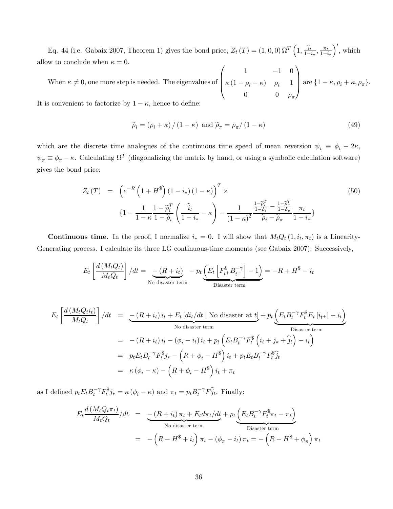Eq. 44 (i.e. Gabaix 2007, Theorem 1) gives the bond price,  $Z_t(T) = (1,0,0) \Omega^T \left(1, \frac{\hat{i}_t}{1-i_*}, \frac{\pi_t}{1-i_*}, \frac{\pi_t}{1-i_*}\right)$  $\big)'$ , which allow to conclude when  $\kappa = 0$ .  $\sqrt{ }$  $\setminus$ 

When  $\kappa \neq 0$ , one more step is needed. The eigenvalues of  $\Big\}$  $1 \t -1 \t 0$  $\kappa (1 - \rho_i - \kappa)$   $\rho_i$  1 0 0  $\rho_{\pi}$ are  $\{1 - \kappa, \rho_i + \kappa, \rho_\pi\}.$ 

It is convenient to factorize by  $1-\kappa,$  hence to define:

$$
\widetilde{\rho}_i = (\rho_i + \kappa) / (1 - \kappa) \text{ and } \widetilde{\rho}_\pi = \rho_\pi / (1 - \kappa)
$$
\n(49)

which are the discrete time analogues of the continuous time speed of mean reversion  $\psi_i \equiv \phi_i - 2\kappa$ ,  $\psi_{\pi} \equiv \phi_{\pi} - \kappa$ . Calculating  $\Omega^T$  (diagonalizing the matrix by hand, or using a symbolic calculation software) gives the bond price:

$$
Z_{t}(T) = \left(e^{-R}\left(1+H^{\$}\right)(1-i_{*})\left(1-\kappa\right)\right)^{T} \times \left\{1-\frac{1}{1-\kappa}\frac{1-\tilde{\rho}_{i}^{T}}{1-\tilde{\rho}_{i}}\left(\frac{\hat{i}_{t}}{1-i_{*}}-\kappa\right)-\frac{1}{\left(1-\kappa\right)^{2}}\frac{\frac{1-\tilde{\rho}_{i}^{T}}{1-\tilde{\rho}_{i}}-\frac{1-\tilde{\rho}_{\pi}^{T}}{1-\tilde{\rho}_{\pi}}}{\tilde{\rho}_{i}-\tilde{\rho}_{\pi}}\frac{\pi_{t}}{1-i_{*}}\right\}
$$
\n
$$
(50)
$$

Continuous time. In the proof, I normalize  $i_* = 0$ . I will show that  $M_tQ_t(1, i_t, \pi_t)$  is a Linearity-Generating process. I calculate its three LG continuous-time moments (see Gabaix 2007). Successively,

$$
E_t \left[ \frac{d \left( M_t Q_t \right)}{M_t Q_t} \right] / dt = \underbrace{- \left( R + i_t \right)}_{\text{No disaster term}} + p_t \underbrace{\left( E_t \left[ F_{t^+}^{\$} B_{t^+}^{-\gamma} \right] - 1 \right)}_{\text{Disaster term}} = -R + H^{\$} - i_t
$$

$$
E_t \left[ \frac{d(M_t Q_t i_t)}{M_t Q_t} \right] / dt = \underbrace{-(R + i_t) i_t + E_t [di_t/dt \mid \text{No disaster at } t]}_{\text{No disaster term}} + p_t \underbrace{\left( E_t B_t^{-\gamma} F_t^* E_t [i_{t+}] - i_t \right)}_{\text{Disaster term}}
$$
\n
$$
= -(R + i_t) i_t - (\phi_i - i_t) i_t + p_t \left( E_t B_t^{-\gamma} F_t^* \left( i_t + j_* + \hat{j}_t \right) - i_t \right)
$$
\n
$$
= p_t E_t B_t^{-\gamma} F_t^* j_* - \left( R + \phi_i - H^* \right) i_t + p_t E_t B_t^{-\gamma} F_t^* \hat{j}_t
$$
\n
$$
= \kappa (\phi_i - \kappa) - \left( R + \phi_i - H^* \right) i_t + \pi_t
$$

as I defined  $p_t E_t B_t^{-\gamma} F_t^{\$} j_* = \kappa (\phi_i - \kappa)$  and  $\pi_t = p_t B_t^{-\gamma} F_t j_t$ . Finally:

$$
E_t \frac{d(M_t Q_t \pi_t)}{M_t Q_t} / dt = \underbrace{-(R + i_t) \pi_t + E_t d\pi_t / dt}_{\text{No disaster term}} + p_t \underbrace{\left(E_t B_t^{-\gamma} F_t^{\$} \pi_t - \pi_t\right)}_{\text{Disaster term}}
$$
  
= -\left(R - H^{\\$} + i\_t\right) \pi\_t - \left(\phi\_{\pi} - i\_t\right) \pi\_t = -\left(R - H^{\\$} + \phi\_{\pi}\right) \pi\_t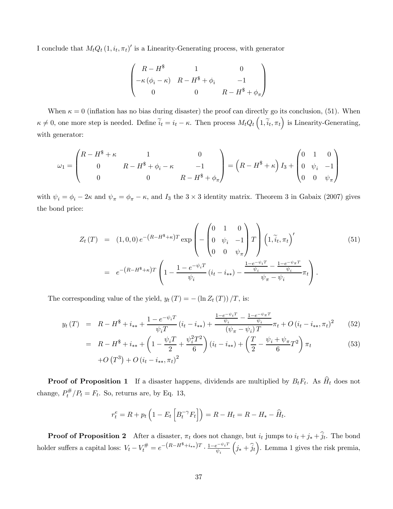I conclude that  $M_t Q_t (1, i_t, \pi_t)'$  is a Linearity-Generating process, with generator

$$
\begin{pmatrix}\nR - H^* & 1 & 0 \\
-\kappa (\phi_i - \kappa) & R - H^* + \phi_i & -1 \\
0 & 0 & R - H^* + \phi_\pi\n\end{pmatrix}
$$

When  $\kappa = 0$  (inflation has no bias during disaster) the proof can directly go its conclusion, (51). When  $\kappa \neq 0$ , one more step is needed. Define  $\widetilde{i}_t = i_t - \kappa$ . Then process  $M_tQ_t\left(1, \widetilde{i}_t, \pi_t\right)$  is Linearity-Generating, with generator:

$$
\omega_1 = \begin{pmatrix} R - H^* + \kappa & 1 & 0 \\ 0 & R - H^* + \phi_i - \kappa & -1 \\ 0 & 0 & R - H^* + \phi_\pi \end{pmatrix} = \left( R - H^* + \kappa \right) I_3 + \begin{pmatrix} 0 & 1 & 0 \\ 0 & \psi_i & -1 \\ 0 & 0 & \psi_\pi \end{pmatrix}
$$

with  $\psi_i = \phi_i - 2\kappa$  and  $\psi_{\pi} = \phi_{\pi} - \kappa$ , and  $I_3$  the  $3 \times 3$  identity matrix. Theorem 3 in Gabaix (2007) gives the bond price:

$$
Z_{t}(T) = (1,0,0) e^{-(R-H^{*}+\kappa)T} \exp\left(-\begin{pmatrix} 0 & 1 & 0 \\ 0 & \psi_{i} & -1 \\ 0 & 0 & \psi_{\pi} \end{pmatrix} T \right) \left(1, \tilde{i}_{t}, \pi_{t}\right)'
$$
(51)  
=  $e^{-(R-H^{*}+\kappa)T} \left(1 - \frac{1 - e^{-\psi_{i}T}}{\psi_{i}} (i_{t} - i_{**}) - \frac{\frac{1 - e^{-\psi_{i}T}}{\psi_{i}} - \frac{1 - e^{-\psi_{\pi}T}}{\psi_{i}}}{\psi_{\pi} - \psi_{i}} \pi_{t}\right).$ 

The corresponding value of the yield,  $y_t(T) = -(\ln Z_t(T))/T$ , is:

$$
y_t(T) = R - H^* + i_{**} + \frac{1 - e^{-\psi_i T}}{\psi_i T} (i_t - i_{**}) + \frac{\frac{1 - e^{-\psi_i T}}{\psi_i} - \frac{1 - e^{-\psi_i T}}{\psi_i}}{(\psi_i - \psi_i) T} \pi_t + O(i_t - i_{**}, \pi_t)^2
$$
(52)

$$
= R - H^{\$} + i_{**} + \left(1 - \frac{\psi_i T}{2} + \frac{\psi_i^2 T^2}{6}\right) (i_t - i_{**}) + \left(\frac{T}{2} - \frac{\psi_i + \psi_\pi}{6} T^2\right) \pi_t
$$
  
+ O(T<sup>3</sup>) + O(i\_t - i\_{\*\*}, \pi\_t)<sup>2</sup> (53)

**Proof of Proposition 1** If a disaster happens, dividends are multiplied by  $B_tF_t$ . As  $\widehat{H}_t$  does not change,  $P_t^{\#}/P_t = F_t$ . So, returns are, by Eq. 13,

$$
r_t^e = R + p_t \left( 1 - E_t \left[ B_t^{-\gamma} F_t \right] \right) = R - H_t = R - H_* - \widehat{H}_t.
$$

**Proof of Proposition 2** After a disaster,  $\pi_t$  does not change, but  $i_t$  jumps to  $i_t + j_* + j_t$ . The bond holder suffers a capital loss:  $V_t - V_t^{\#} = e^{-\left(R - H^{\$} + i_{**}\right)T} \cdot \frac{1 - e^{-\psi_i T}}{\psi_i}$  $(j_* + \hat{j}_t)$ . Lemma 1 gives the risk premia,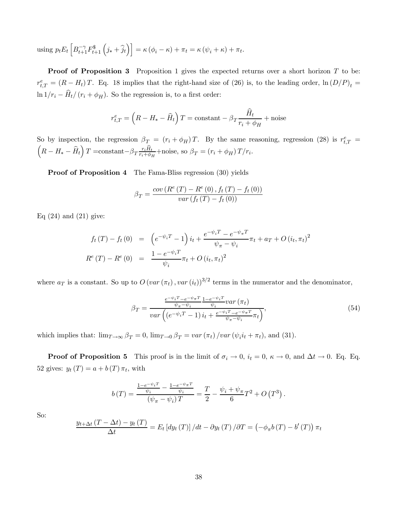using  $p_t E_t \left[ B_{t+1}^{-\gamma} F_{t+1}^{\$} \left( j_* + \hat{j}_t \right) \right] = \kappa \left( \phi_i - \kappa \right) + \pi_t = \kappa \left( \psi_i + \kappa \right) + \pi_t.$ 

**Proof of Proposition 3** Proposition 1 gives the expected returns over a short horizon  $T$  to be:  $r_{t,T}^e = (R - H_t)T$ . Eq. 18 implies that the right-hand size of (26) is, to the leading order,  $\ln (D/P)_t =$ ln  $1/r_i - \widehat{H}_t/(r_i + \phi_H)$ . So the regression is, to a first order:

$$
r_{t,T}^{e} = \left(R - H_{*} - \widehat{H}_{t}\right)T = \text{constant} - \beta_{T}\frac{\widehat{H}_{t}}{r_{i} + \phi_{H}} + \text{noise}
$$

So by inspection, the regression  $\beta_T = (r_i + \phi_H)T$ . By the same reasoning, regression (28) is  $r_{t,T}^e =$ <br> $\left(P - H\right)$   $\hat{H} \geq \text{constant}$   $\beta$ ,  $r_i \hat{H}_{t+1}$  poise so  $\beta = (r_i + \phi_f)T/r_i$ .  $R - H_* - \widehat{H}_t \Bigl) T = \text{constant} - \beta_T \frac{r_i \widehat{H}_t}{r_i + \phi_H} + \text{noise}, \text{ so } \beta_T = \left(r_i + \phi_H\right) T / r_i.$ 

Proof of Proposition 4 The Fama-Bliss regression (30) yields

$$
\beta_T = \frac{cov(R^e(T) - R^e(0), f_t(T) - f_t(0))}{var(f_t(T) - f_t(0))}
$$

Eq  $(24)$  and  $(21)$  give:

$$
f_t(T) - f_t(0) = \left( e^{-\psi_i T} - 1 \right) i_t + \frac{e^{-\psi_i T} - e^{-\psi_\pi T}}{\psi_\pi - \psi_i} \pi_t + a_T + O(i_t, \pi_t)^2
$$
  

$$
R^e(T) - R^e(0) = \frac{1 - e^{-\psi_i T}}{\psi_i} \pi_t + O(i_t, \pi_t)^2
$$

where  $a_T$  is a constant. So up to  $O\left(\frac{var(\pi_t)}{var(i_t)}\right)^{3/2}$  terms in the numerator and the denominator,

$$
\beta_T = \frac{\frac{e^{-\psi_i T} - e^{-\psi_{\pi} T}}{\psi_{\pi} - \psi_i} \frac{1 - e^{-\psi_i T}}{\psi_i} \text{var}\left(\pi_t\right)}{\text{var}\left(\left(e^{-\psi_i T} - 1\right) i_t + \frac{e^{-\psi_i T} - e^{-\psi_{\pi} T}}{\psi_{\pi} - \psi_i} \pi_t\right)},\tag{54}
$$

which implies that:  $\lim_{T\to\infty} \beta_T = 0$ ,  $\lim_{T\to 0} \beta_T = \text{var}(\pi_t) / \text{var}(\psi_i i_t + \pi_t)$ , and (31).

**Proof of Proposition 5** This proof is in the limit of  $\sigma_i \to 0$ ,  $i_t = 0$ ,  $\kappa \to 0$ , and  $\Delta t \to 0$ . Eq. Eq. 52 gives:  $y_t(T) = a + b(T) \pi_t$ , with

$$
b(T) = \frac{\frac{1 - e^{-\psi_i T}}{\psi_i} - \frac{1 - e^{-\psi_{\pi} T}}{\psi_i}}{(\psi_{\pi} - \psi_i) T} = \frac{T}{2} - \frac{\psi_i + \psi_{\pi}}{6} T^2 + O(T^3).
$$

So:

$$
\frac{y_{t+\Delta t}(T-\Delta t)-y_{t}(T)}{\Delta t}=E_{t}\left[dy_{t}\left(T\right)\right]/dt-\partial y_{t}\left(T\right)/\partial T=\left(-\phi_{\pi}b\left(T\right)-b'\left(T\right)\right)\pi_{t}
$$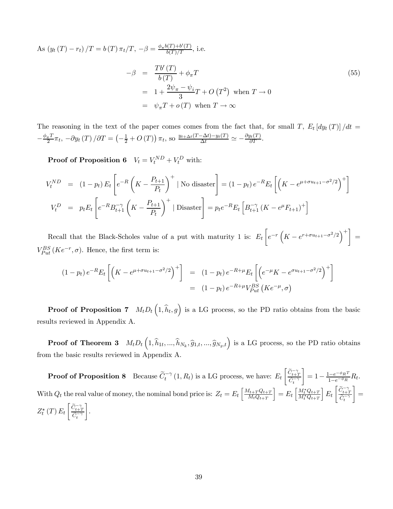As  $(y_t(T) - r_t)/T = b(T) \pi_t/T$ ,  $-\beta = \frac{\phi_\pi b(T) + b'(T)}{b(T)/T}$ , i.e.  $-\beta = \frac{Tb'(T)}{b(T)} + \phi_{\pi}T$  (55)  $= 1 + \frac{2\psi_{\pi} - \psi_i}{2}$  $\frac{(-\psi_i)}{3}T+O(T^2)$  when  $T\to 0$ 

$$
= \psi_{\pi} T + o(T) \text{ when } T \to \infty
$$

The reasoning in the text of the paper comes comes from the fact that, for small T,  $E_t [dy_t(T)]/dt =$  $-\frac{\phi_{\pi}T}{2}\pi_{t}, -\partial y_{t}(T)/\partial T = \left(-\frac{1}{2} + O(T)\right)\pi_{t}, \text{ so } \frac{y_{t+\Delta t}(T-\Delta t)-y_{t}(T)}{\Delta t} \simeq -\frac{\partial y_{t}(T)}{\partial T}.$ 

**Proof of Proposition 6**  $V_t = V_t^{ND} + V_t^D$  with:

$$
V_t^{ND} = (1 - p_t) E_t \left[ e^{-R} \left( K - \frac{P_{t+1}}{P_t} \right)^+ \mid \text{No disaster} \right] = (1 - p_t) e^{-R} E_t \left[ \left( K - e^{\mu + \sigma u_{t+1} - \sigma^2/2} \right)^+ \right]
$$
  

$$
V_t^D = p_t E_t \left[ e^{-R} B_{t+1}^{-\gamma} \left( K - \frac{P_{t+1}}{P_t} \right)^+ \mid \text{Disaster} \right] = p_t e^{-R} E_t \left[ B_{t+1}^{-\gamma} \left( K - e^{\mu} F_{t+1} \right)^+ \right]
$$

Recall that the Black-Scholes value of a put with maturity 1 is:  $E_t$  $\left[ e^{-r} \left( K - e^{r + \sigma u_{t+1} - \sigma^2/2} \right)^+ \right] =$  $V_{Put}^{BS}(Ke^{-r}, \sigma)$ . Hence, the first term is:

$$
(1 - p_t) e^{-R} E_t \left[ \left( K - e^{\mu + \sigma u_{t+1} - \sigma^2/2} \right)^+ \right] = (1 - p_t) e^{-R + \mu} E_t \left[ \left( e^{-\mu} K - e^{\sigma u_{t+1} - \sigma^2/2} \right)^+ \right]
$$
  
= 
$$
(1 - p_t) e^{-R + \mu} V_{Put}^{BS} \left( K e^{-\mu}, \sigma \right)
$$

**Proof of Proposition 7**  $M_t D_t\left(1, \hat{h}_t, g\right)$  is a LG process, so the PD ratio obtains from the basic results reviewed in Appendix A.

**Proof of Theorem 3**  $M_t D_t\left(1, \hat{h}_{1t}, ..., \hat{h}_{N_k}, \hat{g}_{1,t}, ..., \hat{g}_{N_g,t}\right)$  is a LG process, so the PD ratio obtains from the basic results reviewed in Appendix A.

**Proof of Proposition 8** Because  $\widetilde{C}_t^{-\gamma}(1, R_t)$  is a LG process, we have:  $E_t$  $\left\lceil \frac{\widetilde{C}_{t+T}^{-\gamma}}{\widetilde{C}_{t}^{-\gamma}} \right\rceil$  $= 1 - \frac{1 - e^{-\phi_R T}}{1 - e^{-\phi_R}} R_t.$ With  $Q_t$  the real value of money, the nominal bond price is:  $Z_t = E_t \left[ \frac{M_{t+T} Q_{t+T}}{M_t Q_{t+T}} \right]$  $M_tQ_{t+T}$  $\Big] = E_t \left[ \frac{M_t^* Q_{t+T}}{M_t^* Q_{t+T}} \right]$  $E_t$  $\left[\begin{matrix}\widetilde{C}_{t+T}^{-\gamma} \\ \widetilde{C}_{t}^{-\gamma}\end{matrix}\right]$ 1 =  $Z_t^*\left(T\right)E_t$  $\left\lceil \frac{\widetilde{C}_{t+T}^{-\gamma}}{\widetilde{C}_{t}^{-\gamma}} \right\rceil$ ¸ .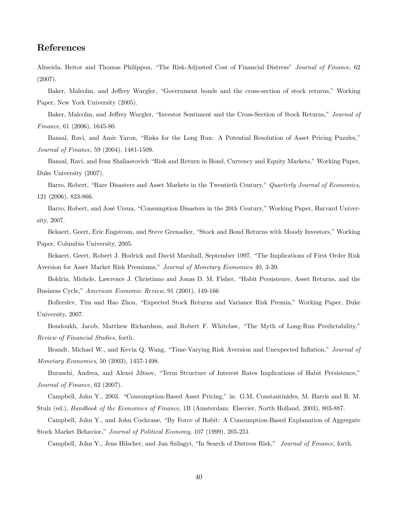# References

Almeida, Heitor and Thomas Philippon, "The Risk-Adjusted Cost of Financial Distress" Journal of Finance, 62 (2007).

Baker, Malcolm, and Jeffrey Wurgler, "Government bonds and the cross-section of stock returns," Working Paper, New York University (2005).

Baker, Malcolm, and Jeffrey Wurgler, "Investor Sentiment and the Cross-Section of Stock Returns," Journal of Finance, 61 (2006), 1645-80.

Bansal, Ravi, and Amir Yaron, "Risks for the Long Run: A Potential Resolution of Asset Pricing Puzzles," Journal of Finance, 59 (2004), 1481-1509.

Bansal, Ravi, and Ivan Shaliastovich "Risk and Return in Bond, Currency and Equity Markets," Working Paper, Duke University (2007).

Barro, Robert, "Rare Disasters and Asset Markets in the Twentieth Century," Quarterly Journal of Economics, 121 (2006), 823-866.

Barro, Robert, and José Ursua, "Consumption Disasters in the 20th Century," Working Paper, Harvard University, 2007.

Bekaert, Geert, Eric Engstrom, and Steve Grenadier, "Stock and Bond Returns with Moody Investors," Working Paper, Columbia University, 2005.

Bekaert, Geert, Robert J. Hodrick and David Marshall, September 1997, "The Implications of First Order Risk Aversion for Asset Market Risk Premiums," Journal of Monetary Economics 40, 3-39.

Boldrin, Michele, Lawrence J. Christiano and Jonas D. M. Fisher, "Habit Persistence, Asset Returns, and the Business Cycle," American Economic Review, 91 (2001), 149-166

Bollerslev, Tim and Hao Zhou, "Expected Stock Returns and Variance Risk Premia," Working Paper, Duke University, 2007.

Boudoukh, Jacob, Matthew Richardson, and Robert F. Whitelaw, "The Myth of Long-Run Predictability," Review of Financial Studies, forth.

Brandt, Michael W., and Kevin Q. Wang, "Time-Varying Risk Aversion and Unexpected Inflation," Journal of Monetary Economics, 50 (2003), 1457-1498.

Buraschi, Andrea, and Alexei Jiltsov, "Term Structure of Interest Rates Implications of Habit Persistence," Journal of Finance, 62 (2007).

Campbell, John Y., 2003. "Consumption-Based Asset Pricing," in: G.M. Constantinides, M. Harris and R. M. Stulz (ed.), Handbook of the Economics of Finance, 1B (Amsterdam: Elsevier, North Holland, 2003), 803-887.

Campbell, John Y., and John Cochrane, "By Force of Habit: A Consumption-Based Explanation of Aggregate Stock Market Behavior," Journal of Political Economy, 107 (1999), 205-251.

Campbell, John Y., Jens Hilscher, and Jan Szilagyi, "In Search of Distress Risk," Journal of Finance, forth.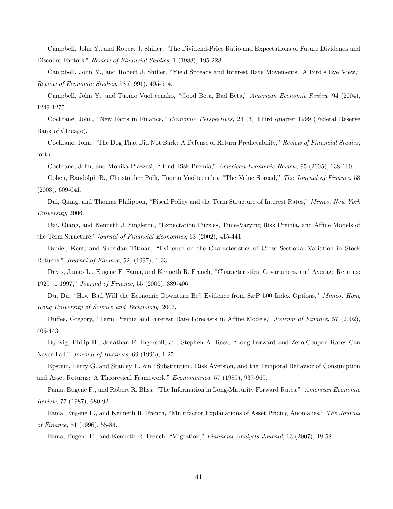Campbell, John Y., and Robert J. Shiller, "The Dividend-Price Ratio and Expectations of Future Dividends and Discount Factors," Review of Financial Studies, 1 (1988), 195-228.

Campbell, John Y., and Robert J. Shiller, "Yield Spreads and Interest Rate Movements: A Bird's Eye View," Review of Economic Studies, 58 (1991), 495-514.

Campbell, John Y., and Tuomo Vuolteenaho, "Good Beta, Bad Beta," American Economic Review, 94 (2004), 1249-1275.

Cochrane, John, "New Facts in Finance," Economic Perspectives, 23 (3) Third quarter 1999 (Federal Reserve Bank of Chicago).

Cochrane, John, "The Dog That Did Not Bark: A Defense of Return Predictability," Review of Financial Studies, forth.

Cochrane, John, and Monika Piazzesi, "Bond Risk Premia," American Economic Review, 95 (2005), 138-160.

Cohen, Randolph B., Christopher Polk, Tuomo Vuolteenaho, "The Value Spread," The Journal of Finance, 58 (2003), 609-641.

Dai, Qiang, and Thomas Philippon, "Fiscal Policy and the Term Structure of Interest Rates," Mimeo, New York University, 2006.

Dai, Qiang, and Kenneth J. Singleton, "Expectation Puzzles, Time-Varying Risk Premia, and Affine Models of the Term Structure,"Journal of Financial Economics, 63 (2002), 415-441.

Daniel, Kent, and Sheridan Titman, "Evidence on the Characteristics of Cross Sectional Variation in Stock Returns," Journal of Finance, 52, (1997), 1-33.

Davis, James L., Eugene F. Fama, and Kenneth R. French, "Characteristics, Covariances, and Average Returns: 1929 to 1997," Journal of Finance, 55 (2000), 389-406.

Du, Du, "How Bad Will the Economic Downturn Be? Evidence from S&P 500 Index Options," Mimeo, Hong Kong University of Science and Technology, 2007.

Duffee, Gregory, "Term Premia and Interest Rate Forecasts in Affine Models," Journal of Finance, 57 (2002), 405-443.

Dybvig, Philip H., Jonathan E. Ingersoll, Jr., Stephen A. Ross, "Long Forward and Zero-Coupon Rates Can Never Fall," Journal of Business, 69 (1996), 1-25.

Epstein, Larry G. and Stanley E. Zin "Substitution, Risk Aversion, and the Temporal Behavior of Consumption and Asset Returns: A Theoretical Framework," Econometrica, 57 (1989), 937-969.

Fama, Eugene F., and Robert R. Bliss, "The Information in Long-Maturity Forward Rates," American Economic Review, 77 (1987), 680-92.

Fama, Eugene F., and Kenneth R. French, "Multifactor Explanations of Asset Pricing Anomalies," The Journal of Finance, 51 (1996), 55-84.

Fama, Eugene F., and Kenneth R. French, "Migration," Financial Analysts Journal, 63 (2007), 48-58.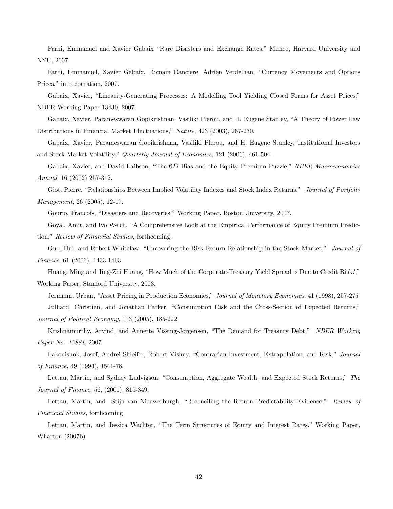Farhi, Emmanuel and Xavier Gabaix "Rare Disasters and Exchange Rates," Mimeo, Harvard University and NYU, 2007.

Farhi, Emmanuel, Xavier Gabaix, Romain Ranciere, Adrien Verdelhan, "Currency Movements and Options Prices," in preparation, 2007.

Gabaix, Xavier, "Linearity-Generating Processes: A Modelling Tool Yielding Closed Forms for Asset Prices," NBER Working Paper 13430, 2007.

Gabaix, Xavier, Parameswaran Gopikrishnan, Vasiliki Plerou, and H. Eugene Stanley, "A Theory of Power Law Distributions in Financial Market Fluctuations," Nature, 423 (2003), 267-230.

Gabaix, Xavier, Parameswaran Gopikrishnan, Vasiliki Plerou, and H. Eugene Stanley,"Institutional Investors and Stock Market Volatility," Quarterly Journal of Economics, 121 (2006), 461-504.

Gabaix, Xavier, and David Laibson, "The 6D Bias and the Equity Premium Puzzle," NBER Macroeconomics Annual, 16 (2002) 257-312.

Giot, Pierre, "Relationships Between Implied Volatility Indexes and Stock Index Returns," Journal of Portfolio Management, 26 (2005), 12-17.

Gourio, Francois, "Disasters and Recoveries," Working Paper, Boston University, 2007.

Goyal, Amit, and Ivo Welch, "A Comprehensive Look at the Empirical Performance of Equity Premium Prediction," Review of Financial Studies, forthcoming.

Guo, Hui, and Robert Whitelaw, "Uncovering the Risk-Return Relationship in the Stock Market," Journal of Finance, 61 (2006), 1433-1463.

Huang, Ming and Jing-Zhi Huang, "How Much of the Corporate-Treasury Yield Spread is Due to Credit Risk?," Working Paper, Stanford University, 2003.

Jermann, Urban, "Asset Pricing in Production Economies," Journal of Monetary Economics, 41 (1998), 257-275 Julliard, Christian, and Jonathan Parker, "Consumption Risk and the Cross-Section of Expected Returns," Journal of Political Economy, 113 (2005), 185-222.

Krishnamurthy, Arvind, and Annette Vissing-Jorgensen, "The Demand for Treasury Debt," NBER Working Paper No. 12881, 2007.

Lakonishok, Josef, Andrei Shleifer, Robert Vishny, "Contrarian Investment, Extrapolation, and Risk," Journal of Finance, 49 (1994), 1541-78.

Lettau, Martin, and Sydney Ludvigson, "Consumption, Aggregate Wealth, and Expected Stock Returns," The Journal of Finance, 56, (2001), 815-849.

Lettau, Martin, and Stijn van Nieuwerburgh, "Reconciling the Return Predictability Evidence," Review of Financial Studies, forthcoming

Lettau, Martin, and Jessica Wachter, "The Term Structures of Equity and Interest Rates," Working Paper, Wharton (2007b).